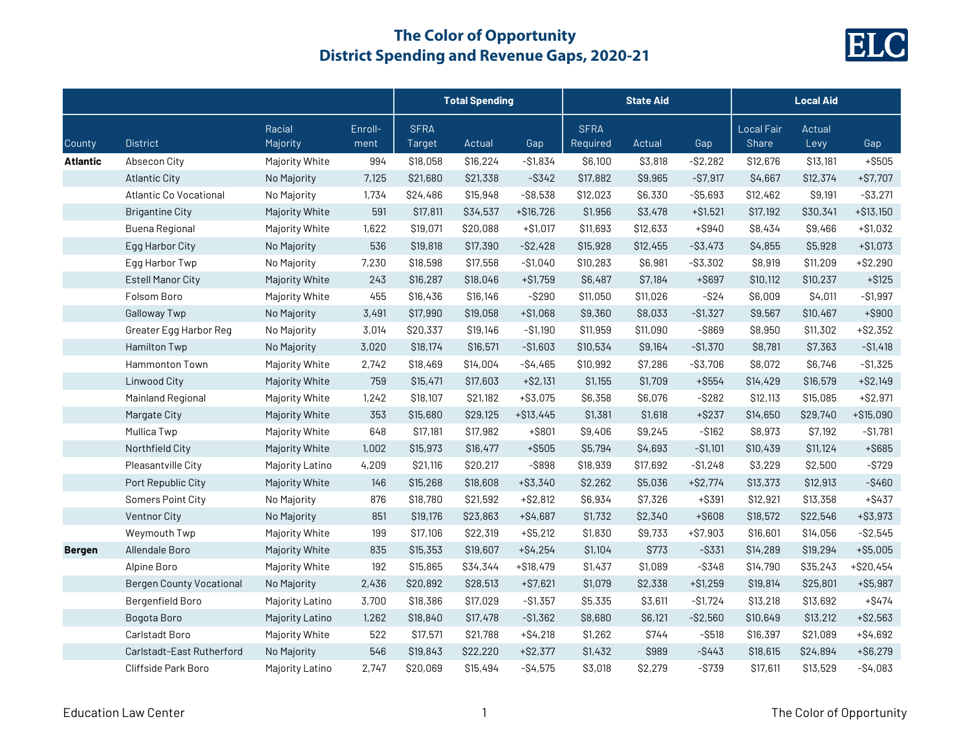

|                 |                                 |                    |                 | <b>Total Spending</b> |          |             | <b>State Aid</b>        |          |             | <b>Local Aid</b>    |                |             |
|-----------------|---------------------------------|--------------------|-----------------|-----------------------|----------|-------------|-------------------------|----------|-------------|---------------------|----------------|-------------|
| County          | <b>District</b>                 | Racial<br>Majority | Enroll-<br>ment | <b>SFRA</b><br>Target | Actual   | Gap         | <b>SFRA</b><br>Required | Actual   | Gap         | Local Fair<br>Share | Actual<br>Levy | Gap         |
| <b>Atlantic</b> | Absecon City                    | Majority White     | 994             | \$18,058              | \$16,224 | $-$1,834$   | \$6,100                 | \$3,818  | $-$ \$2,282 | \$12,676            | \$13,181       | $+$ \$505   |
|                 | <b>Atlantic City</b>            | No Majority        | 7,125           | \$21,680              | \$21,338 | $-$ \$342   | \$17,882                | \$9,965  | $-$ \$7,917 | \$4,667             | \$12,374       | $+ $7,707$  |
|                 | Atlantic Co Vocational          | No Majority        | 1,734           | \$24,486              | \$15,948 | $-$ \$8,538 | \$12,023                | \$6,330  | $- $5,693$  | \$12,462            | \$9,191        | $-$ \$3,271 |
|                 | <b>Brigantine City</b>          | Majority White     | 591             | \$17,811              | \$34,537 | $+ $16,726$ | \$1,956                 | \$3,478  | $+ $1,521$  | \$17,192            | \$30,341       | $+ $13,150$ |
|                 | <b>Buena Regional</b>           | Majority White     | 1,622           | \$19,071              | \$20,088 | $+ $1,017$  | \$11,693                | \$12,633 | +\$940      | \$8,434             | \$9,466        | $+ $1,032$  |
|                 | Egg Harbor City                 | No Majority        | 536             | \$19,818              | \$17,390 | $-$2,428$   | \$15,928                | \$12,455 | $-$ \$3,473 | \$4,855             | \$5,928        | $+ $1,073$  |
|                 | Egg Harbor Twp                  | No Majority        | 7,230           | \$18,598              | \$17,558 | $-$1,040$   | \$10,283                | \$6,981  | $-$ \$3,302 | \$8,919             | \$11,209       | $+ $2,290$  |
|                 | <b>Estell Manor City</b>        | Majority White     | 243             | \$16,287              | \$18,046 | $+ $1,759$  | \$6,487                 | \$7,184  | +\$697      | \$10,112            | \$10,237       | $+ $125$    |
|                 | Folsom Boro                     | Majority White     | 455             | \$16,436              | \$16,146 | $-$ \$290   | \$11,050                | \$11,026 | $-$ \$24    | \$6,009             | \$4,011        | $- $1,997$  |
|                 | <b>Galloway Twp</b>             | No Majority        | 3,491           | \$17,990              | \$19,058 | $+ $1,068$  | \$9,360                 | \$8,033  | $-$1,327$   | \$9,567             | \$10,467       | $+$ \$900   |
|                 | Greater Egg Harbor Reg          | No Majority        | 3,014           | \$20,337              | \$19,146 | $-$1,190$   | \$11,959                | \$11,090 | $-$ \$869   | \$8,950             | \$11,302       | $+ $2,352$  |
|                 | <b>Hamilton Twp</b>             | No Majority        | 3,020           | \$18,174              | \$16,571 | $-$1,603$   | \$10,534                | \$9,164  | $-$1,370$   | \$8,781             | \$7,363        | $- $1,418$  |
|                 | Hammonton Town                  | Majority White     | 2,742           | \$18,469              | \$14,004 | $-$4,465$   | \$10,992                | \$7,286  | $-$ \$3,706 | \$8,072             | \$6,746        | $-$1,325$   |
|                 | Linwood City                    | Majority White     | 759             | \$15,471              | \$17,603 | $+ $2,131$  | \$1,155                 | \$1,709  | $+$ \$554   | \$14,429            | \$16,579       | $+ $2,149$  |
|                 | Mainland Regional               | Majority White     | 1,242           | \$18,107              | \$21,182 | $+ $3,075$  | \$6,358                 | \$6,076  | $-$ \$282   | \$12,113            | \$15,085       | $+ $2,971$  |
|                 | Margate City                    | Majority White     | 353             | \$15,680              | \$29,125 | $+ $13,445$ | \$1,381                 | \$1,618  | $+ $237$    | \$14,650            | \$29,740       | $+ $15,090$ |
|                 | Mullica Twp                     | Majority White     | 648             | \$17,181              | \$17,982 | +\$801      | \$9,406                 | \$9,245  | $- $162$    | \$8,973             | \$7,192        | $-$1,781$   |
|                 | Northfield City                 | Majority White     | 1,002           | \$15,973              | \$16,477 | +\$505      | \$5,794                 | \$4,693  | $- $1,101$  | \$10,439            | \$11,124       | $+$ \$685   |
|                 | Pleasantville City              | Majority Latino    | 4,209           | \$21,116              | \$20,217 | $-$ \$898   | \$18,939                | \$17,692 | $- $1,248$  | \$3,229             | \$2,500        | $-$ \$729   |
|                 | Port Republic City              | Majority White     | 146             | \$15,268              | \$18,608 | $+ $3,340$  | \$2,262                 | \$5,036  | $+ $2,774$  | \$13,373            | \$12,913       | $-$ \$460   |
|                 | Somers Point City               | No Majority        | 876             | \$18,780              | \$21,592 | $+ $2,812$  | \$6,934                 | \$7,326  | +\$391      | \$12,921            | \$13,358       | $+$ \$437   |
|                 | Ventnor City                    | No Majority        | 851             | \$19,176              | \$23,863 | $+ $4,687$  | \$1,732                 | \$2,340  | +\$608      | \$18,572            | \$22,546       | $+ $3,973$  |
|                 | Weymouth Twp                    | Majority White     | 199             | \$17,106              | \$22,319 | $+ $5,212$  | \$1,830                 | \$9,733  | $+ $7,903$  | \$16,601            | \$14,056       | $-$ \$2,545 |
| <b>Bergen</b>   | Allendale Boro                  | Majority White     | 835             | \$15,353              | \$19,607 | $+ $4,254$  | \$1,104                 | \$773    | $-$ \$331   | \$14,289            | \$19,294       | $+ $5,005$  |
|                 | Alpine Boro                     | Majority White     | 192             | \$15,865              | \$34,344 | $+ $18,479$ | \$1,437                 | \$1,089  | $-$ \$348   | \$14,790            | \$35,243       | $+ $20,454$ |
|                 | <b>Bergen County Vocational</b> | No Majority        | 2,436           | \$20,892              | \$28,513 | $+ $7,621$  | \$1,079                 | \$2,338  | $+ $1,259$  | \$19,814            | \$25,801       | $+ $5,987$  |
|                 | Bergenfield Boro                | Majority Latino    | 3,700           | \$18,386              | \$17,029 | $-$1,357$   | \$5,335                 | \$3,611  | $- $1,724$  | \$13,218            | \$13,692       | $+$ \$474   |
|                 | Bogota Boro                     | Majority Latino    | 1,262           | \$18,840              | \$17,478 | $-$1,362$   | \$8,680                 | \$6,121  | $-$2,560$   | \$10,649            | \$13,212       | $+ $2,563$  |
|                 | Carlstadt Boro                  | Majority White     | 522             | \$17,571              | \$21,788 | $+ $4,218$  | \$1,262                 | \$744    | -\$518      | \$16,397            | \$21,089       | $+ $4,692$  |
|                 | Carlstadt-East Rutherford       | No Majority        | 546             | \$19,843              | \$22,220 | $+ $2,377$  | \$1,432                 | \$989    | -\$443      | \$18,615            | \$24,894       | $+ $6,279$  |
|                 | Cliffside Park Boro             | Majority Latino    | 2,747           | \$20,069              | \$15,494 | $-S4,575$   | \$3,018                 | \$2,279  | $-$ \$739   | \$17,611            | \$13,529       | $-S4,083$   |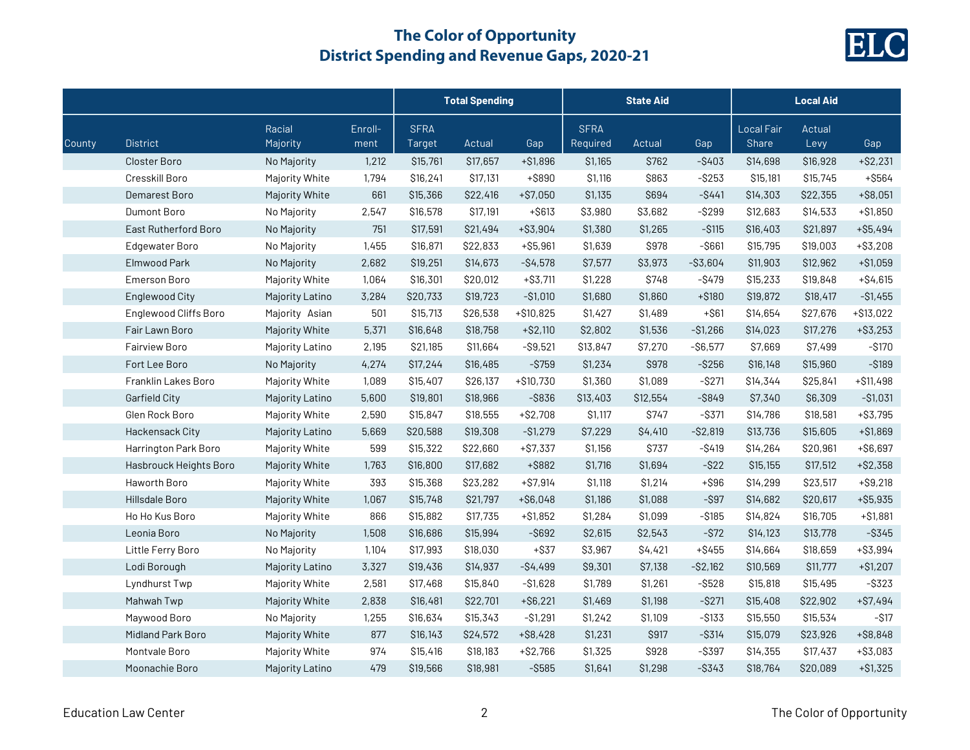

|        |                          |                    |                 | <b>Total Spending</b> |          |             | <b>State Aid</b>        |          |             | <b>Local Aid</b>                  |                |             |
|--------|--------------------------|--------------------|-----------------|-----------------------|----------|-------------|-------------------------|----------|-------------|-----------------------------------|----------------|-------------|
| County | <b>District</b>          | Racial<br>Majority | Enroll-<br>ment | <b>SFRA</b><br>Target | Actual   | Gap         | <b>SFRA</b><br>Required | Actual   | Gap         | <b>Local Fair</b><br><b>Share</b> | Actual<br>Levy | Gap         |
|        | Closter Boro             | No Majority        | 1,212           | \$15,761              | \$17,657 | $+ $1,896$  | \$1,165                 | \$762    | $-$ \$403   | \$14,698                          | \$16,928       | $+ $2,231$  |
|        | Cresskill Boro           | Majority White     | 1,794           | \$16,241              | \$17,131 | +\$890      | \$1,116                 | \$863    | $-$ \$253   | \$15,181                          | \$15,745       | +\$564      |
|        | Demarest Boro            | Majority White     | 661             | \$15,366              | \$22,416 | $+ $7,050$  | \$1,135                 | \$694    | $-$ \$441   | \$14,303                          | \$22,355       | $+ $8,051$  |
|        | Dumont Boro              | No Majority        | 2,547           | \$16,578              | \$17,191 | $+$ \$613   | \$3,980                 | \$3,682  | $-$ \$299   | \$12,683                          | \$14,533       | $+ $1,850$  |
|        | East Rutherford Boro     | No Majority        | 751             | \$17,591              | \$21,494 | $+ $3,904$  | \$1,380                 | \$1,265  | $-$ \$115   | \$16,403                          | \$21,897       | $+ $5,494$  |
|        | Edgewater Boro           | No Majority        | 1,455           | \$16,871              | \$22,833 | $+ $5,961$  | \$1,639                 | \$978    | $-$ \$661   | \$15,795                          | \$19,003       | $+ $3,208$  |
|        | Elmwood Park             | No Majority        | 2,682           | \$19,251              | \$14,673 | $-$4,578$   | \$7,577                 | \$3,973  | $-$ \$3,604 | \$11,903                          | \$12,962       | $+ $1,059$  |
|        | <b>Emerson Boro</b>      | Majority White     | 1,064           | \$16,301              | \$20,012 | $+ $3,711$  | \$1,228                 | \$748    | $-$ \$479   | \$15,233                          | \$19,848       | $+ $4,615$  |
|        | <b>Englewood City</b>    | Majority Latino    | 3,284           | \$20,733              | \$19,723 | $-$1,010$   | \$1,680                 | \$1,860  | $+ $180$    | \$19,872                          | \$18,417       | $-$1,455$   |
|        | Englewood Cliffs Boro    | Majority Asian     | 501             | \$15,713              | \$26,538 | $+ $10,825$ | \$1,427                 | \$1,489  | $+$ \$61    | \$14,654                          | \$27,676       | $+ $13,022$ |
|        | Fair Lawn Boro           | Majority White     | 5,371           | \$16,648              | \$18,758 | $+ $2,110$  | \$2,802                 | \$1,536  | $-$1,266$   | \$14,023                          | \$17,276       | $+ $3,253$  |
|        | <b>Fairview Boro</b>     | Majority Latino    | 2,195           | \$21,185              | \$11,664 | $-$ \$9,521 | \$13,847                | \$7,270  | $-$ \$6,577 | \$7,669                           | \$7,499        | $-$ \$170   |
|        | Fort Lee Boro            | No Majority        | 4,274           | \$17,244              | \$16,485 | $-$ \$759   | \$1,234                 | \$978    | $-$ \$256   | \$16,148                          | \$15,960       | $-$ \$189   |
|        | Franklin Lakes Boro      | Majority White     | 1,089           | \$15,407              | \$26,137 | $+ $10,730$ | \$1,360                 | \$1,089  | $-$ \$271   | \$14,344                          | \$25,841       | $+ $11,498$ |
|        | Garfield City            | Majority Latino    | 5,600           | \$19,801              | \$18,966 | $-$ \$836   | \$13,403                | \$12,554 | $-$ \$849   | \$7,340                           | \$6,309        | $-$1,031$   |
|        | Glen Rock Boro           | Majority White     | 2,590           | \$15,847              | \$18,555 | $+ $2,708$  | \$1,117                 | \$747    | $-$ \$371   | \$14,786                          | \$18,581       | $+ $3,795$  |
|        | Hackensack City          | Majority Latino    | 5,669           | \$20,588              | \$19,308 | $-$1,279$   | \$7,229                 | \$4,410  | $-$ \$2,819 | \$13,736                          | \$15,605       | $+ $1,869$  |
|        | Harrington Park Boro     | Majority White     | 599             | \$15,322              | \$22,660 | $+ $7,337$  | \$1,156                 | \$737    | $-$ \$419   | \$14,264                          | \$20,961       | $+ $6,697$  |
|        | Hasbrouck Heights Boro   | Majority White     | 1,763           | \$16,800              | \$17,682 | +\$882      | \$1,716                 | \$1,694  | $-$ \$22    | \$15,155                          | \$17,512       | $+ $2,358$  |
|        | Haworth Boro             | Majority White     | 393             | \$15,368              | \$23,282 | $+ $7,914$  | \$1,118                 | \$1,214  | $+$ \$96    | \$14,299                          | \$23,517       | $+$ \$9,218 |
|        | Hillsdale Boro           | Majority White     | 1,067           | \$15,748              | \$21,797 | $+ $6,048$  | \$1,186                 | \$1,088  | $-$ \$97    | \$14,682                          | \$20,617       | $+ $5,935$  |
|        | Ho Ho Kus Boro           | Majority White     | 866             | \$15,882              | \$17,735 | $+ $1,852$  | \$1,284                 | \$1,099  | $-$ \$185   | \$14,824                          | \$16,705       | $+ $1,881$  |
|        | Leonia Boro              | No Majority        | 1,508           | \$16,686              | \$15,994 | $-$ \$692   | \$2,615                 | \$2,543  | $-$ \$72    | \$14,123                          | \$13,778       | $-$ \$345   |
|        | Little Ferry Boro        | No Majority        | 1,104           | \$17,993              | \$18,030 | $+$ \$37    | \$3,967                 | \$4,421  | $+$ \$455   | \$14,664                          | \$18,659       | $+ $3,994$  |
|        | Lodi Borough             | Majority Latino    | 3,327           | \$19,436              | \$14,937 | $-$4,499$   | \$9,301                 | \$7,138  | $-$ \$2,162 | \$10,569                          | \$11,777       | $+ $1,207$  |
|        | Lyndhurst Twp            | Majority White     | 2,581           | \$17,468              | \$15,840 | $-$1,628$   | \$1,789                 | \$1,261  | $-$ \$528   | \$15,818                          | \$15,495       | $-$ \$323   |
|        | Mahwah Twp               | Majority White     | 2,838           | \$16,481              | \$22,701 | $+ $6,221$  | \$1,469                 | \$1,198  | $-$ \$271   | \$15,408                          | \$22,902       | $+ $7,494$  |
|        | Maywood Boro             | No Majority        | 1,255           | \$16,634              | \$15,343 | $-$1,291$   | \$1,242                 | \$1,109  | $-$ \$133   | \$15,550                          | \$15,534       | $-$ \$17    |
|        | <b>Midland Park Boro</b> | Majority White     | 877             | \$16,143              | \$24,572 | $+ $8,428$  | \$1,231                 | \$917    | $-$ \$314   | \$15,079                          | \$23,926       | $+ $8,848$  |
|        | Montvale Boro            | Majority White     | 974             | \$15,416              | \$18,183 | $+ $2,766$  | \$1,325                 | \$928    | $-$ \$397   | \$14,355                          | \$17,437       | $+ $3,083$  |
|        | Moonachie Boro           | Majority Latino    | 479             | \$19,566              | \$18,981 | $-$ \$585   | \$1,641                 | \$1,298  | $-$ \$343   | \$18,764                          | \$20,089       | $+ $1,325$  |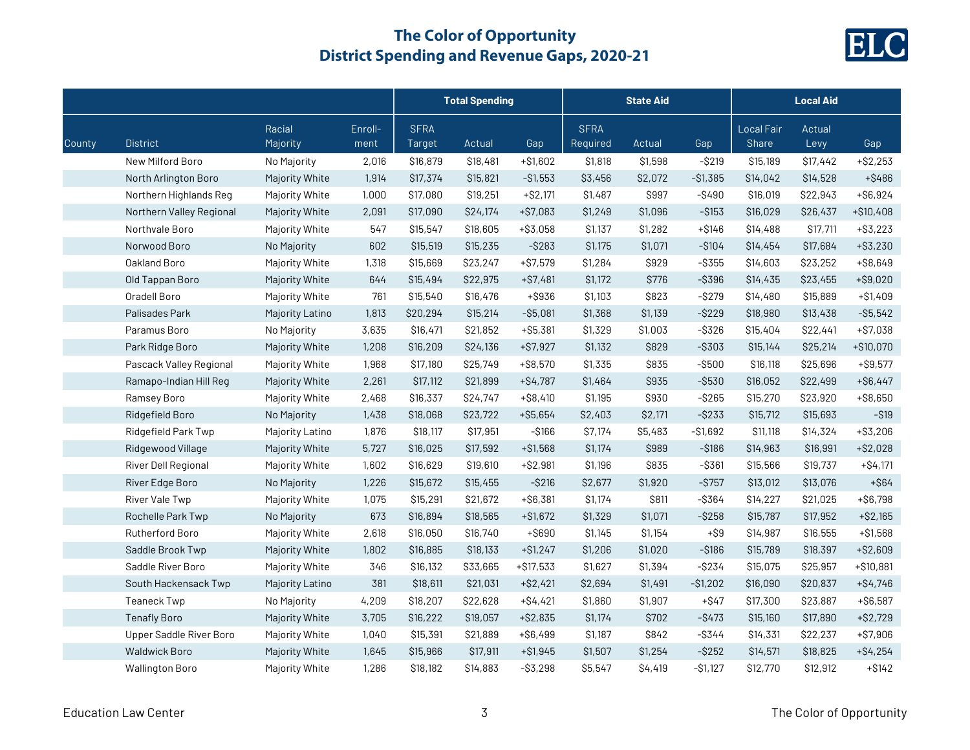

|        |                          |                    |                 | <b>Total Spending</b> |          |             | <b>State Aid</b>        |              |           | <b>Local Aid</b>           |                |             |
|--------|--------------------------|--------------------|-----------------|-----------------------|----------|-------------|-------------------------|--------------|-----------|----------------------------|----------------|-------------|
| County | <b>District</b>          | Racial<br>Majority | Enroll-<br>ment | <b>SFRA</b><br>Target | Actual   | Gap         | <b>SFRA</b><br>Required | Actual       | Gap       | <b>Local Fair</b><br>Share | Actual<br>Levy | Gap         |
|        | New Milford Boro         | No Majority        | 2,016           | \$16,879              | \$18,481 | $+ $1,602$  | \$1,818                 | \$1,598      | $-$ \$219 | \$15,189                   | \$17,442       | $+ $2,253$  |
|        | North Arlington Boro     | Majority White     | 1,914           | \$17,374              | \$15,821 | $-$1,553$   | \$3,456                 | \$2,072      | $-$1,385$ | \$14,042                   | \$14,528       | +\$486      |
|        | Northern Highlands Reg   | Majority White     | 1,000           | \$17,080              | \$19,251 | $+ $2,171$  | \$1,487                 | \$997        | $-$ \$490 | \$16,019                   | \$22,943       | $+ $6,924$  |
|        | Northern Valley Regional | Majority White     | 2,091           | \$17,090              | \$24,174 | $+ $7,083$  | \$1,249                 | \$1,096      | $-$153$   | \$16,029                   | \$26,437       | $+ $10,408$ |
|        | Northvale Boro           | Majority White     | 547             | \$15,547              | \$18,605 | $+ $3,058$  | \$1,137                 | \$1,282      | $+ $146$  | \$14,488                   | \$17,711       | $+$ \$3,223 |
|        | Norwood Boro             | No Majority        | 602             | \$15,519              | \$15,235 | $-$ \$283   | \$1,175                 | \$1,071      | $-$ \$104 | \$14,454                   | \$17,684       | $+ $3,230$  |
|        | Oakland Boro             | Majority White     | 1,318           | \$15,669              | \$23,247 | $+ $7,579$  | \$1,284                 | \$929        | $-$ \$355 | \$14,603                   | \$23,252       | $+$ \$8,649 |
|        | Old Tappan Boro          | Majority White     | 644             | \$15,494              | \$22,975 | $+ $7,481$  | \$1,172                 | \$776        | $-$ \$396 | \$14,435                   | \$23,455       | $+ $9,020$  |
|        | Oradell Boro             | Majority White     | 761             | \$15,540              | \$16,476 | +\$936      | \$1,103                 | \$823        | $-$ \$279 | \$14,480                   | \$15,889       | $+ $1,409$  |
|        | Palisades Park           | Majority Latino    | 1,813           | \$20,294              | \$15,214 | $-$ \$5,081 | \$1,368                 | \$1,139      | $-$ \$229 | \$18,980                   | \$13,438       | $-$ \$5,542 |
|        | Paramus Boro             | No Majority        | 3,635           | \$16,471              | \$21,852 | $+ $5,381$  | \$1,329                 | \$1,003      | $-$ \$326 | \$15,404                   | \$22,441       | $+ $7,038$  |
|        | Park Ridge Boro          | Majority White     | 1,208           | \$16,209              | \$24,136 | $+ $7,927$  | \$1,132                 | \$829        | -\$303    | \$15,144                   | \$25,214       | $+ $10,070$ |
|        | Pascack Valley Regional  | Majority White     | 1,968           | \$17,180              | \$25,749 | $+ $8,570$  | \$1,335                 | \$835        | $-$ \$500 | \$16,118                   | \$25,696       | $+$ \$9,577 |
|        | Ramapo-Indian Hill Reg   | Majority White     | 2,261           | \$17,112              | \$21,899 | $+ $4,787$  | \$1,464                 | \$935        | $-$ \$530 | \$16,052                   | \$22,499       | $+$ \$6,447 |
|        | Ramsey Boro              | Majority White     | 2,468           | \$16,337              | \$24,747 | $+ $8,410$  | \$1,195                 | \$930        | $-$ \$265 | \$15,270                   | \$23,920       | $+ $8,650$  |
|        | Ridgefield Boro          | No Majority        | 1,438           | \$18,068              | \$23,722 | $+ $5,654$  | \$2,403                 | \$2,171      | $-$ \$233 | \$15,712                   | \$15,693       | $-$ \$19    |
|        | Ridgefield Park Twp      | Majority Latino    | 1,876           | \$18,117              | \$17,951 | $-$ \$166   | \$7,174                 | \$5,483      | $-$1,692$ | \$11,118                   | \$14,324       | $+$ \$3,206 |
|        | Ridgewood Village        | Majority White     | 5,727           | \$16,025              | \$17,592 | $+ $1,568$  | \$1,174                 | \$989        | $-$ \$186 | \$14,963                   | \$16,991       | $+ $2,028$  |
|        | River Dell Regional      | Majority White     | 1,602           | \$16,629              | \$19,610 | $+ $2,981$  | \$1,196                 | \$835        | $-$ \$361 | \$15,566                   | \$19,737       | $+ $4,171$  |
|        | River Edge Boro          | No Majority        | 1,226           | \$15,672              | \$15,455 | $-$ \$216   | \$2,677                 | \$1,920      | $-$ \$757 | \$13,012                   | \$13,076       | $+$ \$64    |
|        | River Vale Twp           | Majority White     | 1,075           | \$15,291              | \$21,672 | $+ $6,381$  | \$1,174                 | <b>\$811</b> | $-$ \$364 | \$14,227                   | \$21,025       | $+ $6,798$  |
|        | Rochelle Park Twp        | No Majority        | 673             | \$16,894              | \$18,565 | $+ $1,672$  | \$1,329                 | \$1,071      | $-$ \$258 | \$15,787                   | \$17,952       | $+ $2,165$  |
|        | Rutherford Boro          | Majority White     | 2,618           | \$16,050              | \$16,740 | +\$690      | \$1,145                 | \$1,154      | $+ $9$    | \$14,987                   | \$16,555       | $+ $1,568$  |
|        | Saddle Brook Twp         | Majority White     | 1,802           | \$16,885              | \$18,133 | $+ $1,247$  | \$1,206                 | \$1,020      | $-$ \$186 | \$15,789                   | \$18,397       | $+ $2,609$  |
|        | Saddle River Boro        | Majority White     | 346             | \$16,132              | \$33,665 | $+ $17,533$ | \$1,627                 | \$1,394      | $-$ \$234 | \$15,075                   | \$25,957       | $+ $10,881$ |
|        | South Hackensack Twp     | Majority Latino    | 381             | \$18,611              | \$21,031 | $+ $2,421$  | \$2,694                 | \$1,491      | $-$1,202$ | \$16,090                   | \$20,837       | $+ $4,746$  |
|        | Teaneck Twp              | No Majority        | 4,209           | \$18,207              | \$22,628 | $+ $4,421$  | \$1,860                 | \$1,907      | $+$ \$47  | \$17,300                   | \$23,887       | $+ $6,587$  |
|        | <b>Tenafly Boro</b>      | Majority White     | 3,705           | \$16,222              | \$19,057 | $+ $2,835$  | \$1,174                 | \$702        | $-$ \$473 | \$15,160                   | \$17,890       | $+ $2,729$  |
|        | Upper Saddle River Boro  | Majority White     | 1,040           | \$15,391              | \$21,889 | $+ $6,499$  | \$1,187                 | \$842        | $-$ \$344 | \$14,331                   | \$22,237       | $+ $7,906$  |
|        | <b>Waldwick Boro</b>     | Majority White     | 1,645           | \$15,966              | \$17,911 | $+ $1,945$  | \$1,507                 | \$1,254      | $-$ \$252 | \$14,571                   | \$18,825       | $+ $4,254$  |
|        | <b>Wallington Boro</b>   | Majority White     | 1,286           | \$18,182              | \$14,883 | $-$ \$3,298 | \$5,547                 | \$4,419      | $-$1,127$ | \$12,770                   | \$12,912       | $+ $142$    |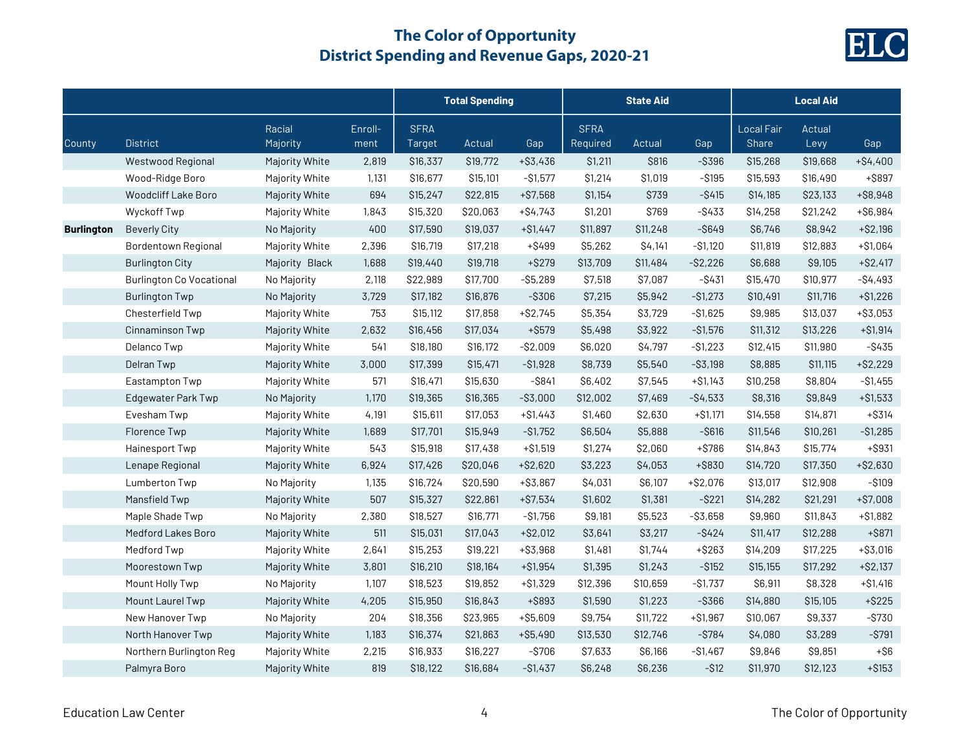

|                   |                                 |                    |                 | <b>Total Spending</b> |          |             | <b>State Aid</b>        |          |             | <b>Local Aid</b>                  |                |             |
|-------------------|---------------------------------|--------------------|-----------------|-----------------------|----------|-------------|-------------------------|----------|-------------|-----------------------------------|----------------|-------------|
| County            | <b>District</b>                 | Racial<br>Majority | Enroll-<br>ment | <b>SFRA</b><br>Target | Actual   | Gap         | <b>SFRA</b><br>Required | Actual   | Gap         | <b>Local Fair</b><br><b>Share</b> | Actual<br>Levy | Gap         |
|                   | Westwood Regional               | Majority White     | 2,819           | \$16,337              | \$19,772 | $+ $3,436$  | \$1,211                 | \$816    | $-$ \$396   | \$15,268                          | \$19,668       | $+ $4,400$  |
|                   | Wood-Ridge Boro                 | Majority White     | 1,131           | \$16,677              | \$15,101 | $-$1,577$   | \$1,214                 | \$1,019  | $-$ \$195   | \$15,593                          | \$16,490       | $+$ S897    |
|                   | Woodcliff Lake Boro             | Majority White     | 694             | \$15,247              | \$22,815 | $+ $7,568$  | \$1,154                 | \$739    | $-$ \$415   | \$14,185                          | \$23,133       | $+$ \$8,948 |
|                   | Wyckoff Twp                     | Majority White     | 1,843           | \$15,320              | \$20,063 | +\$4,743    | \$1,201                 | \$769    | $-$ \$433   | \$14,258                          | \$21,242       | $+ $6,984$  |
| <b>Burlington</b> | <b>Beverly City</b>             | No Majority        | 400             | \$17,590              | \$19,037 | $+ $1,447$  | \$11,897                | \$11,248 | $-$ \$649   | \$6,746                           | \$8,942        | $+ $2,196$  |
|                   | <b>Bordentown Regional</b>      | Majority White     | 2,396           | \$16,719              | \$17,218 | $+ $499$    | \$5,262                 | \$4,141  | $-$1,120$   | \$11,819                          | \$12,883       | $+ $1,064$  |
|                   | <b>Burlington City</b>          | Majority Black     | 1,688           | \$19,440              | \$19,718 | $+$ \$279   | \$13,709                | \$11,484 | $-$2,226$   | \$6,688                           | \$9,105        | $+ $2,417$  |
|                   | <b>Burlington Co Vocational</b> | No Majority        | 2,118           | \$22,989              | \$17,700 | $-$ \$5,289 | \$7,518                 | \$7,087  | $-$ \$431   | \$15,470                          | \$10,977       | $-$4,493$   |
|                   | <b>Burlington Twp</b>           | No Majority        | 3,729           | \$17,182              | \$16,876 | $-$ \$306   | \$7,215                 | \$5,942  | $-$1,273$   | \$10,491                          | \$11,716       | $+ $1,226$  |
|                   | Chesterfield Twp                | Majority White     | 753             | \$15,112              | \$17,858 | $+ $2,745$  | \$5,354                 | \$3,729  | $-$1,625$   | \$9,985                           | \$13,037       | +\$3,053    |
|                   | Cinnaminson Twp                 | Majority White     | 2,632           | \$16,456              | \$17,034 | $+$ \$579   | \$5,498                 | \$3,922  | $-$1,576$   | \$11,312                          | \$13,226       | $+ $1,914$  |
|                   | Delanco Twp                     | Majority White     | 541             | \$18,180              | \$16,172 | $-$2,009$   | \$6,020                 | \$4,797  | $-$1,223$   | \$12,415                          | \$11,980       | $-$ \$435   |
|                   | Delran Twp                      | Majority White     | 3,000           | \$17,399              | \$15,471 | $-$1,928$   | \$8,739                 | \$5,540  | $-$ \$3,198 | \$8,885                           | \$11,115       | $+ $2,229$  |
|                   | Eastampton Twp                  | Majority White     | 571             | \$16,471              | \$15,630 | $-$ \$841   | \$6,402                 | \$7,545  | $+ $1,143$  | \$10,258                          | \$8,804        | $- $1,455$  |
|                   | Edgewater Park Twp              | No Majority        | 1,170           | \$19,365              | \$16,365 | $-$ \$3,000 | \$12,002                | \$7,469  | $-$4,533$   | \$8,316                           | \$9,849        | $+ $1,533$  |
|                   | Evesham Twp                     | Majority White     | 4,191           | \$15,611              | \$17,053 | $+ $1,443$  | \$1,460                 | \$2,630  | +\$1,171    | \$14,558                          | \$14,871       | $+$ \$314   |
|                   | Florence Twp                    | Majority White     | 1,689           | \$17,701              | \$15,949 | $-S1,752$   | \$6,504                 | \$5,888  | $-$ \$616   | \$11,546                          | \$10,261       | $-$1,285$   |
|                   | Hainesport Twp                  | Majority White     | 543             | \$15,918              | \$17,438 | $+ $1,519$  | \$1,274                 | \$2,060  | $+ $786$    | \$14,843                          | \$15,774       | $+$ \$931   |
|                   | Lenape Regional                 | Majority White     | 6,924           | \$17,426              | \$20,046 | $+ $2,620$  | \$3,223                 | \$4,053  | +\$830      | \$14,720                          | \$17,350       | $+ $2,630$  |
|                   | Lumberton Twp                   | No Majority        | 1,135           | \$16,724              | \$20,590 | $+ $3,867$  | \$4,031                 | \$6,107  | $+ $2,076$  | \$13,017                          | \$12,908       | $-$ \$109   |
|                   | Mansfield Twp                   | Majority White     | 507             | \$15,327              | \$22,861 | $+ $7,534$  | \$1,602                 | \$1,381  | $-$ \$221   | \$14,282                          | \$21,291       | $+ $7,008$  |
|                   | Maple Shade Twp                 | No Majority        | 2,380           | \$18,527              | \$16,771 | $-$1,756$   | \$9,181                 | \$5,523  | $- $3,658$  | \$9,960                           | \$11,843       | $+ $1,882$  |
|                   | Medford Lakes Boro              | Majority White     | 511             | \$15,031              | \$17,043 | $+ $2,012$  | \$3,641                 | \$3,217  | $-$ \$424   | \$11,417                          | \$12,288       | $+$ \$871   |
|                   | Medford Twp                     | Majority White     | 2,641           | \$15,253              | \$19,221 | $+ $3,968$  | \$1,481                 | \$1,744  | $+ $263$    | \$14,209                          | \$17,225       | $+ $3,016$  |
|                   | Moorestown Twp                  | Majority White     | 3,801           | \$16,210              | \$18,164 | $+ $1,954$  | \$1,395                 | \$1,243  | $-$ \$152   | \$15,155                          | \$17,292       | $+ $2,137$  |
|                   | Mount Holly Twp                 | No Majority        | 1,107           | \$18,523              | \$19,852 | $+ $1,329$  | \$12,396                | \$10,659 | $-$1,737$   | \$6,911                           | \$8,328        | $+ $1,416$  |
|                   | Mount Laurel Twp                | Majority White     | 4,205           | \$15,950              | \$16,843 | +\$893      | \$1,590                 | \$1,223  | $-$ \$366   | \$14,880                          | \$15,105       | $+ $225$    |
|                   | New Hanover Twp                 | No Majority        | 204             | \$18,356              | \$23,965 | $+ $5,609$  | \$9,754                 | \$11,722 | $+ $1,967$  | \$10,067                          | \$9,337        | $-$ \$730   |
|                   | North Hanover Twp               | Majority White     | 1,183           | \$16,374              | \$21,863 | $+ $5,490$  | \$13,530                | \$12,746 | $-$ \$784   | \$4,080                           | \$3,289        | $-$ \$791   |
|                   | Northern Burlington Reg         | Majority White     | 2,215           | \$16,933              | \$16,227 | $-$ \$706   | \$7,633                 | \$6,166  | $-$1,467$   | \$9,846                           | \$9,851        | $+$ \$6     |
|                   | Palmyra Boro                    | Majority White     | 819             | \$18,122              | \$16,684 | $-$1,437$   | \$6,248                 | \$6,236  | $- $12$     | \$11,970                          | \$12,123       | $+ $153$    |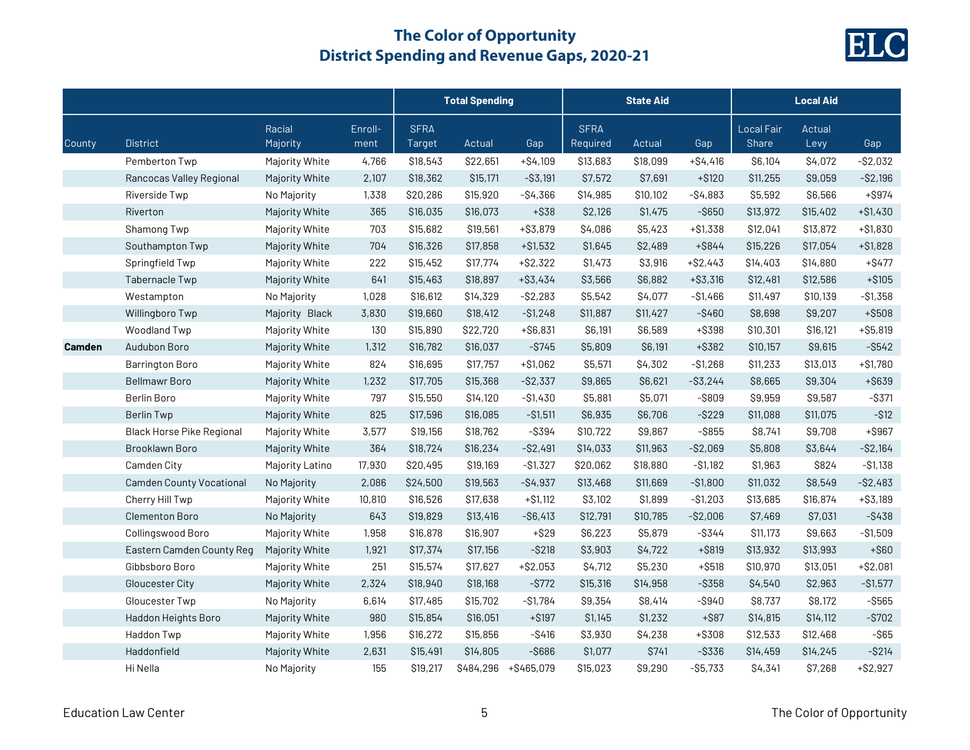

|        |                                 |                    |                 | <b>Total Spending</b> |           |             | <b>State Aid</b>        |          |             | <b>Local Aid</b>           |                |             |
|--------|---------------------------------|--------------------|-----------------|-----------------------|-----------|-------------|-------------------------|----------|-------------|----------------------------|----------------|-------------|
| County | <b>District</b>                 | Racial<br>Majority | Enroll-<br>ment | <b>SFRA</b><br>Target | Actual    | Gap         | <b>SFRA</b><br>Required | Actual   | Gap         | <b>Local Fair</b><br>Share | Actual<br>Levy | Gap         |
|        | Pemberton Twp                   | Majority White     | 4,766           | \$18,543              | \$22,651  | $+ $4,109$  | \$13,683                | \$18,099 | $+ $4,416$  | \$6,104                    | \$4,072        | $-$ \$2,032 |
|        | Rancocas Valley Regional        | Majority White     | 2,107           | \$18,362              | \$15,171  | $-$ \$3,191 | \$7,572                 | \$7,691  | $+ $120$    | \$11,255                   | \$9,059        | $-$ \$2,196 |
|        | Riverside Twp                   | No Majority        | 1,338           | \$20,286              | \$15,920  | $-$4,366$   | \$14,985                | \$10,102 | $-$4,883$   | \$5,592                    | \$6,566        | $+$ \$974   |
|        | Riverton                        | Majority White     | 365             | \$16,035              | \$16,073  | $+$ \$38    | \$2,126                 | \$1,475  | $-$ \$650   | \$13,972                   | \$15,402       | $+ $1,430$  |
|        | Shamong Twp                     | Majority White     | 703             | \$15,682              | \$19,561  | $+ $3,879$  | \$4,086                 | \$5,423  | $+ $1,338$  | \$12,041                   | \$13,872       | $+ $1,830$  |
|        | Southampton Twp                 | Majority White     | 704             | \$16,326              | \$17,858  | $+ $1,532$  | \$1,645                 | \$2,489  | $+$ \$844   | \$15,226                   | \$17,054       | $+ $1,828$  |
|        | Springfield Twp                 | Majority White     | 222             | \$15,452              | \$17,774  | $+ $2,322$  | \$1,473                 | \$3,916  | $+ $2,443$  | \$14,403                   | \$14,880       | $+$ \$477   |
|        | Tabernacle Twp                  | Majority White     | 641             | \$15,463              | \$18,897  | $+ $3,434$  | \$3,566                 | \$6,882  | $+ $3,316$  | \$12,481                   | \$12,586       | $+ $105$    |
|        | Westampton                      | No Majority        | 1,028           | \$16,612              | \$14,329  | $-$ \$2,283 | \$5,542                 | \$4,077  | $-$1,466$   | \$11,497                   | \$10,139       | $-$1,358$   |
|        | Willingboro Twp                 | Majority Black     | 3,830           | \$19,660              | \$18,412  | $-$1,248$   | \$11,887                | \$11,427 | $-$ \$460   | \$8,698                    | \$9,207        | $+$ \$508   |
|        | Woodland Twp                    | Majority White     | 130             | \$15,890              | \$22,720  | $+ $6,831$  | \$6,191                 | \$6,589  | +\$398      | \$10,301                   | \$16,121       | $+ $5,819$  |
| Camden | Audubon Boro                    | Majority White     | 1,312           | \$16,782              | \$16,037  | $-$ \$745   | \$5,809                 | \$6,191  | +\$382      | \$10,157                   | \$9,615        | $-$ \$542   |
|        | <b>Barrington Boro</b>          | Majority White     | 824             | \$16,695              | \$17,757  | $+ $1,062$  | \$5,571                 | \$4,302  | $-$1,268$   | \$11,233                   | \$13,013       | $+ $1,780$  |
|        | <b>Bellmawr Boro</b>            | Majority White     | 1,232           | \$17,705              | \$15,368  | $-S2,337$   | \$9,865                 | \$6,621  | $-$ \$3,244 | \$8,665                    | \$9,304        | +\$639      |
|        | <b>Berlin Boro</b>              | Majority White     | 797             | \$15,550              | \$14,120  | $-$1,430$   | \$5,881                 | \$5,071  | $-$ \$809   | \$9,959                    | \$9,587        | $-$ \$371   |
|        | <b>Berlin Twp</b>               | Majority White     | 825             | \$17,596              | \$16,085  | $- $1,511$  | \$6,935                 | \$6,706  | $-$ \$229   | \$11,088                   | \$11,075       | $-$ \$12    |
|        | Black Horse Pike Regional       | Majority White     | 3,577           | \$19,156              | \$18,762  | $-$ \$394   | \$10,722                | \$9,867  | $-$ \$855   | \$8,741                    | \$9,708        | $+$ \$967   |
|        | Brooklawn Boro                  | Majority White     | 364             | \$18,724              | \$16,234  | $-$ \$2,491 | \$14,033                | \$11,963 | $-$2,069$   | \$5,808                    | \$3,644        | $-$ \$2,164 |
|        | Camden City                     | Majority Latino    | 17,930          | \$20,495              | \$19,169  | $-S1,327$   | \$20,062                | \$18,880 | $-$ \$1,182 | \$1,963                    | \$824          | $- $1,138$  |
|        | <b>Camden County Vocational</b> | No Majority        | 2,086           | \$24,500              | \$19,563  | $-$4,937$   | \$13,468                | \$11,669 | $-$1,800$   | \$11,032                   | \$8,549        | $-$2,483$   |
|        | Cherry Hill Twp                 | Majority White     | 10,810          | \$16,526              | \$17,638  | $+ $1,112$  | \$3,102                 | \$1,899  | $-$1,203$   | \$13,685                   | \$16,874       | $+ $3,189$  |
|        | Clementon Boro                  | No Majority        | 643             | \$19,829              | \$13,416  | $-$ \$6,413 | \$12,791                | \$10,785 | $-$2,006$   | \$7,469                    | \$7,031        | $-$ \$438   |
|        | Collingswood Boro               | Majority White     | 1,958           | \$16,878              | \$16,907  | $+$ \$29    | \$6,223                 | \$5,879  | $-$ \$344   | \$11,173                   | \$9,663        | $-$1,509$   |
|        | Eastern Camden County Reg       | Majority White     | 1,921           | \$17,374              | \$17,156  | $-$ \$218   | \$3,903                 | \$4,722  | $+$ \$819   | \$13,932                   | \$13,993       | $+$ \$60    |
|        | Gibbsboro Boro                  | Majority White     | 251             | \$15,574              | \$17,627  | $+ $2,053$  | \$4,712                 | \$5,230  | $+ $518$    | \$10,970                   | \$13,051       | $+ $2,081$  |
|        | Gloucester City                 | Majority White     | 2,324           | \$18,940              | \$18,168  | $-$ \$772   | \$15,316                | \$14,958 | $-$ \$358   | \$4,540                    | \$2,963        | $-S1,577$   |
|        | Gloucester Twp                  | No Majority        | 6,614           | \$17,485              | \$15,702  | $-$1,784$   | \$9,354                 | \$8,414  | $-$ \$940   | \$8,737                    | \$8,172        | $-$ \$565   |
|        | Haddon Heights Boro             | Majority White     | 980             | \$15,854              | \$16,051  | $+ $197$    | \$1,145                 | \$1,232  | $+$ \$87    | \$14,815                   | \$14,112       | $-$ \$702   |
|        | Haddon Twp                      | Majority White     | 1,956           | \$16,272              | \$15,856  | $-$ \$416   | \$3,930                 | \$4,238  | +\$308      | \$12,533                   | \$12,468       | $-$ \$65    |
|        | Haddonfield                     | Majority White     | 2,631           | \$15,491              | \$14,805  | $-$ \$686   | \$1,077                 | \$741    | -\$336      | \$14,459                   | \$14,245       | $-$ \$214   |
|        | Hi Nella                        | No Majority        | 155             | \$19,217              | \$484,296 | +\$465,079  | \$15,023                | \$9,290  | $-$ \$5,733 | \$4,341                    | \$7,268        | $+ $2,927$  |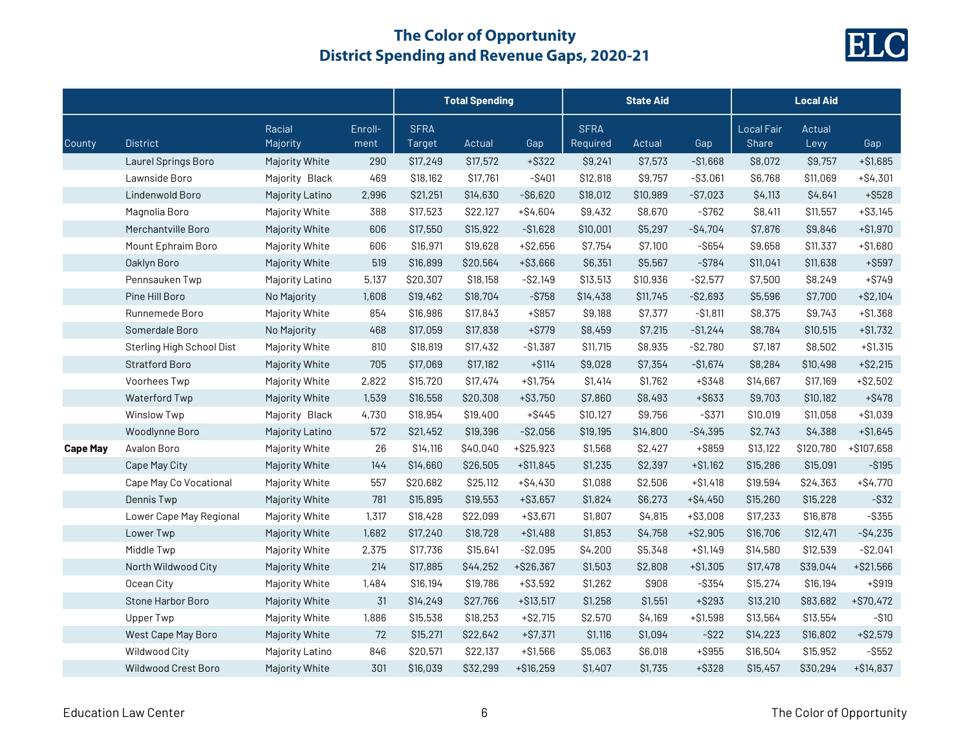

|                 |                           |                    |                 | <b>Total Spending</b> |          |             | <b>State Aid</b>        |          |             | <b>Local Aid</b>                  |                |             |
|-----------------|---------------------------|--------------------|-----------------|-----------------------|----------|-------------|-------------------------|----------|-------------|-----------------------------------|----------------|-------------|
| County          | <b>District</b>           | Racial<br>Majority | Enroll-<br>ment | <b>SFRA</b><br>Target | Actual   | Gap         | <b>SFRA</b><br>Required | Actual   | Gap         | <b>Local Fair</b><br><b>Share</b> | Actual<br>Levy | Gap         |
|                 | Laurel Springs Boro       | Majority White     | 290             | \$17,249              | \$17,572 | $+$ \$322   | \$9,241                 | \$7,573  | $-$1,668$   | \$8,072                           | \$9,757        | $+ $1,685$  |
|                 | Lawnside Boro             | Majority Black     | 469             | \$18,162              | \$17,761 | $-$ \$401   | \$12,818                | \$9,757  | $- $3,061$  | \$6,768                           | \$11,069       | $+ $4,301$  |
|                 | Lindenwold Boro           | Majority Latino    | 2,996           | \$21,251              | \$14,630 | $-$ \$6,620 | \$18,012                | \$10,989 | $-$7,023$   | \$4,113                           | \$4,641        | $+ $528$    |
|                 | Magnolia Boro             | Majority White     | 388             | \$17,523              | \$22,127 | $+$ \$4,604 | \$9,432                 | \$8,670  | $-$ \$762   | \$8,411                           | \$11,557       | $+ $3,145$  |
|                 | Merchantville Boro        | Majority White     | 606             | \$17,550              | \$15,922 | $- $1,628$  | \$10,001                | \$5,297  | $-$4,704$   | \$7,876                           | \$9,846        | $+ $1,970$  |
|                 | Mount Ephraim Boro        | Majority White     | 606             | \$16,971              | \$19,628 | $+ $2,656$  | \$7,754                 | \$7,100  | $-$ \$654   | \$9,658                           | \$11,337       | $+ $1,680$  |
|                 | Oaklyn Boro               | Majority White     | 519             | \$16,899              | \$20,564 | +\$3,666    | \$6,351                 | \$5,567  | $-$ \$784   | \$11,041                          | \$11,638       | $+$ \$597   |
|                 | Pennsauken Twp            | Majority Latino    | 5,137           | \$20,307              | \$18,158 | $-$ \$2,149 | \$13,513                | \$10,936 | $-S2,577$   | \$7,500                           | \$8,249        | $+ $749$    |
|                 | Pine Hill Boro            | No Majority        | 1,608           | \$19,462              | \$18,704 | $-$ \$758   | \$14,438                | \$11,745 | $-$ \$2,693 | \$5,596                           | \$7,700        | $+ $2,104$  |
|                 | Runnemede Boro            | Majority White     | 854             | \$16,986              | \$17,843 | $+$ \$857   | \$9,188                 | \$7,377  | $- $1,811$  | \$8,375                           | \$9,743        | $+ $1,368$  |
|                 | Somerdale Boro            | No Majority        | 468             | \$17,059              | \$17,838 | $+ $779$    | \$8,459                 | \$7,215  | $-$1,244$   | \$8,784                           | \$10,515       | $+ $1,732$  |
|                 | Sterling High School Dist | Majority White     | 810             | \$18,819              | \$17,432 | $-$1,387$   | \$11,715                | \$8,935  | $-$ \$2,780 | \$7,187                           | \$8,502        | $+ $1,315$  |
|                 | <b>Stratford Boro</b>     | Majority White     | 705             | \$17,069              | \$17,182 | $+ $114$    | \$9,028                 | \$7,354  | $-$1,674$   | \$8,284                           | \$10,498       | $+ $2,215$  |
|                 | Voorhees Twp              | Majority White     | 2,822           | \$15,720              | \$17,474 | $+ $1,754$  | \$1,414                 | \$1,762  | $+$ \$348   | \$14,667                          | \$17,169       | $+ $2,502$  |
|                 | Waterford Twp             | Majority White     | 1,539           | \$16,558              | \$20,308 | $+ $3,750$  | \$7,860                 | \$8,493  | +\$633      | \$9,703                           | \$10,182       | $+$ \$478   |
|                 | <b>Winslow Twp</b>        | Majority Black     | 4,730           | \$18,954              | \$19,400 | $+$ \$445   | \$10,127                | \$9,756  | $-$ \$371   | \$10,019                          | \$11,058       | $+ $1,039$  |
|                 | Woodlynne Boro            | Majority Latino    | 572             | \$21,452              | \$19,396 | $-$ \$2,056 | \$19,195                | \$14,800 | $-$4,395$   | \$2,743                           | \$4,388        | $+ $1,645$  |
| <b>Cape May</b> | Avalon Boro               | Majority White     | 26              | \$14,116              | \$40,040 | $+ $25,923$ | \$1,568                 | \$2,427  | +\$859      | \$13,122                          | \$120,780      | +\$107,658  |
|                 | Cape May City             | Majority White     | 144             | \$14,660              | \$26,505 | $+ $11,845$ | \$1,235                 | \$2,397  | $+ $1,162$  | \$15,286                          | \$15,091       | $-$ \$195   |
|                 | Cape May Co Vocational    | Majority White     | 557             | \$20,682              | \$25,112 | $+ $4,430$  | \$1,088                 | \$2,506  | $+ $1,418$  | \$19,594                          | \$24,363       | $+ $4,770$  |
|                 | Dennis Twp                | Majority White     | 781             | \$15,895              | \$19,553 | $+ $3,657$  | \$1,824                 | \$6,273  | $+ $4,450$  | \$15,260                          | \$15,228       | $-$ \$32    |
|                 | Lower Cape May Regional   | Majority White     | 1,317           | \$18,428              | \$22,099 | $+ $3,671$  | \$1,807                 | \$4,815  | $+ $3,008$  | \$17,233                          | \$16,878       | $-$ \$355   |
|                 | Lower Twp                 | Majority White     | 1,682           | \$17,240              | \$18,728 | $+ $1,488$  | \$1,853                 | \$4,758  | $+ $2,905$  | \$16,706                          | \$12,471       | $-$4,235$   |
|                 | Middle Twp                | Majority White     | 2,375           | \$17,736              | \$15,641 | $-$ \$2,095 | \$4,200                 | \$5,348  | $+ $1,149$  | \$14,580                          | \$12,539       | $-$ \$2,041 |
|                 | North Wildwood City       | Majority White     | 214             | \$17,885              | \$44,252 | $+ $26,367$ | \$1,503                 | \$2,808  | $+ $1,305$  | \$17,478                          | \$39,044       | $+ $21,566$ |
|                 | Ocean City                | Majority White     | 1,484           | \$16,194              | \$19,786 | $+ $3,592$  | \$1,262                 | \$908    | $-$ \$354   | \$15,274                          | \$16,194       | $+$ \$919   |
|                 | Stone Harbor Boro         | Majority White     | 31              | \$14,249              | \$27,766 | $+ $13,517$ | \$1,258                 | \$1,551  | $+$ \$293   | \$13,210                          | \$83,682       | $+ $70,472$ |
|                 | Upper Twp                 | Majority White     | 1,886           | \$15,538              | \$18,253 | $+ $2,715$  | \$2,570                 | \$4,169  | $+ $1,598$  | \$13,564                          | \$13,554       | $- $10$     |
|                 | West Cape May Boro        | Majority White     | 72              | \$15,271              | \$22,642 | $+ $7,371$  | \$1,116                 | \$1,094  | $-$ \$22    | \$14,223                          | \$16,802       | $+ $2,579$  |
|                 | Wildwood City             | Majority Latino    | 846             | \$20,571              | \$22,137 | $+ $1,566$  | \$5,063                 | \$6,018  | $+$ \$955   | \$16,504                          | \$15,952       | $-$ \$552   |
|                 | Wildwood Crest Boro       | Majority White     | 301             | \$16,039              | \$32,299 | $+ $16,259$ | \$1,407                 | \$1,735  | $+$ \$328   | \$15,457                          | \$30,294       | $+ $14,837$ |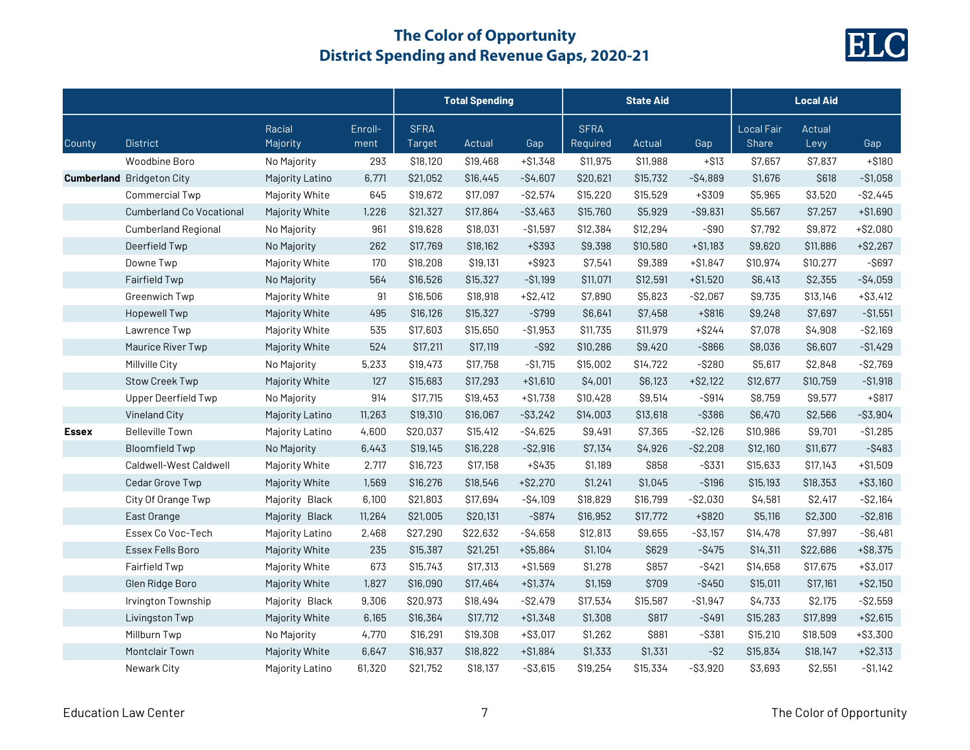

|              |                                  |                    |                 | <b>Total Spending</b> |          |             | <b>State Aid</b>        |          |             | <b>Local Aid</b>                  |                |             |
|--------------|----------------------------------|--------------------|-----------------|-----------------------|----------|-------------|-------------------------|----------|-------------|-----------------------------------|----------------|-------------|
| County       | <b>District</b>                  | Racial<br>Majority | Enroll-<br>ment | <b>SFRA</b><br>Target | Actual   | Gap         | <b>SFRA</b><br>Required | Actual   | Gap         | <b>Local Fair</b><br><b>Share</b> | Actual<br>Levy | Gap         |
|              | Woodbine Boro                    | No Majority        | 293             | \$18,120              | \$19,468 | $+ $1,348$  | \$11,975                | \$11,988 | $+ $13$     | \$7,657                           | \$7,837        | $+ $180$    |
|              | <b>Cumberland</b> Bridgeton City | Majority Latino    | 6,771           | \$21,052              | \$16,445 | $-$4,607$   | \$20,621                | \$15,732 | $-$4,889$   | \$1,676                           | \$618          | $- $1,058$  |
|              | <b>Commercial Twp</b>            | Majority White     | 645             | \$19,672              | \$17,097 | $-$ \$2,574 | \$15,220                | \$15,529 | +\$309      | \$5,965                           | \$3,520        | $-$ \$2,445 |
|              | <b>Cumberland Co Vocational</b>  | Majority White     | 1,226           | \$21,327              | \$17,864 | $-$ \$3,463 | \$15,760                | \$5,929  | $-$ \$9,831 | \$5,567                           | \$7,257        | $+ $1,690$  |
|              | <b>Cumberland Regional</b>       | No Majority        | 961             | \$19,628              | \$18,031 | $-$1,597$   | \$12,384                | \$12,294 | $-$ \$90    | \$7,792                           | \$9,872        | $+ $2,080$  |
|              | Deerfield Twp                    | No Majority        | 262             | \$17,769              | \$18,162 | +\$393      | \$9,398                 | \$10,580 | $+ $1,183$  | \$9,620                           | \$11,886       | $+ $2,267$  |
|              | Downe Twp                        | Majority White     | 170             | \$18,208              | \$19,131 | $+$ \$923   | \$7,541                 | \$9,389  | $+ $1,847$  | \$10,974                          | \$10,277       | $-$ \$697   |
|              | Fairfield Twp                    | No Majority        | 564             | \$16,526              | \$15,327 | $- $1,199$  | \$11,071                | \$12,591 | $+ $1,520$  | \$6,413                           | \$2,355        | $-$4,059$   |
|              | Greenwich Twp                    | Majority White     | 91              | \$16,506              | \$18,918 | $+ $2,412$  | \$7,890                 | \$5,823  | $-$2,067$   | \$9,735                           | \$13,146       | $+$ \$3,412 |
|              | <b>Hopewell Twp</b>              | Majority White     | 495             | \$16,126              | \$15,327 | $-$ \$799   | \$6,641                 | \$7,458  | $+$ \$816   | \$9,248                           | \$7,697        | $- $1,551$  |
|              | Lawrence Twp                     | Majority White     | 535             | \$17,603              | \$15,650 | $-$1,953$   | \$11,735                | \$11,979 | $+$ \$244   | \$7,078                           | \$4,908        | $-$ \$2,169 |
|              | Maurice River Twp                | Majority White     | 524             | \$17,211              | \$17,119 | $-$ \$92    | \$10,286                | \$9,420  | $-$ \$866   | \$8,036                           | \$6,607        | $-$1,429$   |
|              | Millville City                   | No Majority        | 5,233           | \$19,473              | \$17,758 | $-$1,715$   | \$15,002                | \$14,722 | $-$ \$280   | \$5,617                           | \$2,848        | $-$ \$2,769 |
|              | <b>Stow Creek Twp</b>            | Majority White     | 127             | \$15,683              | \$17,293 | $+ $1,610$  | \$4,001                 | \$6,123  | $+ $2,122$  | \$12,677                          | \$10,759       | $-$1,918$   |
|              | <b>Upper Deerfield Twp</b>       | No Majority        | 914             | \$17,715              | \$19,453 | $+ $1,738$  | \$10,428                | \$9,514  | $-$ \$914   | \$8,759                           | \$9,577        | $+$ \$817   |
|              | Vineland City                    | Majority Latino    | 11,263          | \$19,310              | \$16,067 | $-$ \$3,242 | \$14,003                | \$13,618 | $-$ \$386   | \$6,470                           | \$2,566        | $-$ \$3,904 |
| <b>Essex</b> | <b>Belleville Town</b>           | Majority Latino    | 4,600           | \$20,037              | \$15,412 | $-$4,625$   | \$9,491                 | \$7,365  | $-$ \$2,126 | \$10,986                          | \$9,701        | $-$1,285$   |
|              | <b>Bloomfield Twp</b>            | No Majority        | 6,443           | \$19,145              | \$16,228 | $-$ \$2,916 | \$7,134                 | \$4,926  | $-$ \$2,208 | \$12,160                          | \$11,677       | $-$ \$483   |
|              | Caldwell-West Caldwell           | Majority White     | 2,717           | \$16,723              | \$17,158 | $+ $435$    | \$1,189                 | \$858    | $-$ \$331   | \$15,633                          | \$17,143       | $+ $1,509$  |
|              | Cedar Grove Twp                  | Majority White     | 1,569           | \$16,276              | \$18,546 | $+ $2,270$  | \$1,241                 | \$1,045  | $-$ \$196   | \$15,193                          | \$18,353       | $+ $3,160$  |
|              | City Of Orange Twp               | Majority Black     | 6,100           | \$21,803              | \$17,694 | $-$4,109$   | \$18,829                | \$16,799 | $-$ \$2,030 | \$4,581                           | \$2,417        | $-$ \$2,164 |
|              | East Orange                      | Majority Black     | 11,264          | \$21,005              | \$20,131 | $-$ \$874   | \$16,952                | \$17,772 | +\$820      | \$5,116                           | \$2,300        | $-$ \$2,816 |
|              | Essex Co Voc-Tech                | Majority Latino    | 2,468           | \$27,290              | \$22,632 | $-$4,658$   | \$12,813                | \$9,655  | $-$ \$3,157 | \$14,478                          | \$7,997        | $-$ \$6,481 |
|              | Essex Fells Boro                 | Majority White     | 235             | \$15,387              | \$21,251 | $+ $5,864$  | \$1,104                 | \$629    | $-$ \$475   | \$14,311                          | \$22,686       | $+ $8,375$  |
|              | Fairfield Twp                    | Majority White     | 673             | \$15,743              | \$17,313 | $+ $1,569$  | \$1,278                 | \$857    | $-$ \$421   | \$14,658                          | \$17,675       | $+ $3,017$  |
|              | Glen Ridge Boro                  | Majority White     | 1,827           | \$16,090              | \$17,464 | $+ $1,374$  | \$1,159                 | \$709    | $-$ \$450   | \$15,011                          | \$17,161       | $+ $2,150$  |
|              | Irvington Township               | Majority Black     | 9,306           | \$20,973              | \$18,494 | $-$ \$2,479 | \$17,534                | \$15,587 | $-$1,947$   | \$4,733                           | \$2,175        | $-$ \$2,559 |
|              | Livingston Twp                   | Majority White     | 6,165           | \$16,364              | \$17,712 | $+ $1,348$  | \$1,308                 | \$817    | -\$491      | \$15,283                          | \$17,899       | $+ $2,615$  |
|              | Millburn Twp                     | No Majority        | 4,770           | \$16,291              | \$19,308 | $+ $3,017$  | \$1,262                 | \$881    | $-$ \$381   | \$15,210                          | \$18,509       | $+ $3,300$  |
|              | Montclair Town                   | Majority White     | 6,647           | \$16,937              | \$18,822 | $+ $1,884$  | \$1,333                 | \$1,331  | $-$ \$2     | \$15,834                          | \$18,147       | $+ $2,313$  |
|              | Newark City                      | Majority Latino    | 61,320          | \$21,752              | \$18,137 | $-$ \$3,615 | \$19,254                | \$15,334 | $-$ \$3,920 | \$3,693                           | \$2,551        | $- $1,142$  |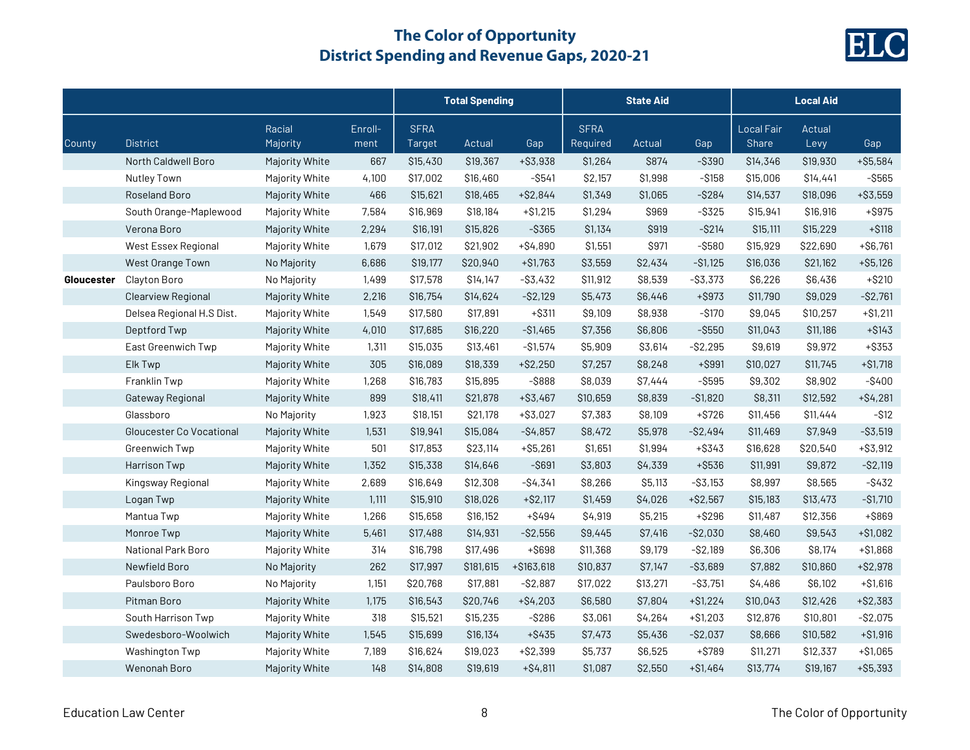

|            |                           |                    |                 | <b>Total Spending</b> |           |             | <b>State Aid</b>        |          |             | <b>Local Aid</b>           |                |             |
|------------|---------------------------|--------------------|-----------------|-----------------------|-----------|-------------|-------------------------|----------|-------------|----------------------------|----------------|-------------|
| County     | <b>District</b>           | Racial<br>Majority | Enroll-<br>ment | <b>SFRA</b><br>Target | Actual    | Gap         | <b>SFRA</b><br>Required | Actual   | Gap         | Local Fair<br><b>Share</b> | Actual<br>Levy | Gap         |
|            | North Caldwell Boro       | Majority White     | 667             | \$15,430              | \$19,367  | $+ $3,938$  | \$1,264                 | \$874    | $-$ \$390   | \$14,346                   | \$19,930       | $+ $5,584$  |
|            | Nutley Town               | Majority White     | 4,100           | \$17,002              | \$16,460  | $-$ \$541   | \$2,157                 | \$1,998  | $-$ \$158   | \$15,006                   | \$14,441       | $-$ \$565   |
|            | Roseland Boro             | Majority White     | 466             | \$15,621              | \$18,465  | $+ $2,844$  | \$1,349                 | \$1,065  | $-$ \$284   | \$14,537                   | \$18,096       | $+ $3,559$  |
|            | South Orange-Maplewood    | Majority White     | 7,584           | \$16,969              | \$18,184  | $+ $1,215$  | \$1,294                 | \$969    | $-$ \$325   | \$15,941                   | \$16,916       | $+$ \$975   |
|            | Verona Boro               | Majority White     | 2,294           | \$16,191              | \$15,826  | $-$ \$365   | \$1,134                 | \$919    | $-$ \$214   | \$15,111                   | \$15,229       | $+ $118$    |
|            | West Essex Regional       | Majority White     | 1,679           | \$17,012              | \$21,902  | $+ $4,890$  | \$1,551                 | \$971    | $-$ \$580   | \$15,929                   | \$22,690       | $+ $6,761$  |
|            | West Orange Town          | No Majority        | 6,686           | \$19,177              | \$20,940  | $+ $1,763$  | \$3,559                 | \$2,434  | $- $1,125$  | \$16,036                   | \$21,162       | $+ $5,126$  |
| Gloucester | Clayton Boro              | No Majority        | 1,499           | \$17,578              | \$14,147  | $-$ \$3,432 | \$11,912                | \$8,539  | $-$ \$3,373 | \$6,226                    | \$6,436        | $+ $210$    |
|            | Clearview Regional        | Majority White     | 2,216           | \$16,754              | \$14,624  | $-$ \$2,129 | \$5,473                 | \$6,446  | $+$ \$973   | \$11,790                   | \$9,029        | $-$ \$2,761 |
|            | Delsea Regional H.S Dist. | Majority White     | 1,549           | \$17,580              | \$17,891  | $+$ \$311   | \$9,109                 | \$8,938  | $-$ \$170   | \$9,045                    | \$10,257       | $+ $1,211$  |
|            | Deptford Twp              | Majority White     | 4,010           | \$17,685              | \$16,220  | $-$1,465$   | \$7,356                 | \$6,806  | $-$ \$550   | \$11,043                   | \$11,186       | $+ $143$    |
|            | East Greenwich Twp        | Majority White     | 1,311           | \$15,035              | \$13,461  | $-$1,574$   | \$5,909                 | \$3,614  | $-$ \$2,295 | \$9,619                    | \$9,972        | $+$ \$353   |
|            | Elk Twp                   | Majority White     | 305             | \$16,089              | \$18,339  | $+ $2,250$  | \$7,257                 | \$8,248  | $+$ \$991   | \$10,027                   | \$11,745       | $+ $1,718$  |
|            | Franklin Twp              | Majority White     | 1,268           | \$16,783              | \$15,895  | $-$ \$888   | \$8,039                 | \$7,444  | $-$ \$595   | \$9,302                    | \$8,902        | $-$ \$400   |
|            | Gateway Regional          | Majority White     | 899             | \$18,411              | \$21,878  | $+ $3,467$  | \$10,659                | \$8,839  | $-$1,820$   | \$8,311                    | \$12,592       | $+ $4,281$  |
|            | Glassboro                 | No Majority        | 1,923           | \$18,151              | \$21,178  | $+ $3,027$  | \$7,383                 | \$8,109  | $+ $726$    | \$11,456                   | \$11,444       | $-$ \$12    |
|            | Gloucester Co Vocational  | Majority White     | 1,531           | \$19,941              | \$15,084  | $-S4,857$   | \$8,472                 | \$5,978  | $-$ \$2,494 | \$11,469                   | \$7,949        | $-$ \$3,519 |
|            | Greenwich Twp             | Majority White     | 501             | \$17,853              | \$23,114  | $+$ \$5,261 | \$1,651                 | \$1,994  | $+$ \$343   | \$16,628                   | \$20,540       | $+ $3,912$  |
|            | Harrison Twp              | Majority White     | 1,352           | \$15,338              | \$14,646  | $-$ \$691   | \$3,803                 | \$4,339  | +\$536      | \$11,991                   | \$9,872        | $-$ \$2,119 |
|            | Kingsway Regional         | Majority White     | 2,689           | \$16,649              | \$12,308  | $-$ \$4,341 | \$8,266                 | \$5,113  | $- $3,153$  | \$8,997                    | \$8,565        | $-$ \$432   |
|            | Logan Twp                 | Majority White     | 1,111           | \$15,910              | \$18,026  | $+ $2,117$  | \$1,459                 | \$4,026  | $+ $2,567$  | \$15,183                   | \$13,473       | $-$1,710$   |
|            | Mantua Twp                | Majority White     | 1,266           | \$15,658              | \$16,152  | $+$ \$494   | \$4,919                 | \$5,215  | $+ $296$    | \$11,487                   | \$12,356       | +\$869      |
|            | Monroe Twp                | Majority White     | 5,461           | \$17,488              | \$14,931  | $-$2,556$   | \$9,445                 | \$7,416  | $-$ \$2,030 | \$8,460                    | \$9,543        | $+ $1,082$  |
|            | National Park Boro        | Majority White     | 314             | \$16,798              | \$17,496  | +\$698      | \$11,368                | \$9,179  | $-$ \$2,189 | \$6,306                    | \$8,174        | $+ $1,868$  |
|            | Newfield Boro             | No Majority        | 262             | \$17,997              | \$181,615 | +\$163,618  | \$10,837                | \$7,147  | $-$ \$3,689 | \$7,882                    | \$10,860       | $+ $2,978$  |
|            | Paulsboro Boro            | No Majority        | 1,151           | \$20,768              | \$17,881  | $-$ \$2,887 | \$17,022                | \$13,271 | $-$ \$3,751 | \$4,486                    | \$6,102        | $+ $1,616$  |
|            | Pitman Boro               | Majority White     | 1,175           | \$16,543              | \$20,746  | $+ $4,203$  | \$6,580                 | \$7,804  | $+ $1,224$  | \$10,043                   | \$12,426       | $+ $2,383$  |
|            | South Harrison Twp        | Majority White     | 318             | \$15,521              | \$15,235  | $-$ \$286   | \$3,061                 | \$4,264  | $+ $1,203$  | \$12,876                   | \$10,801       | $-$ \$2,075 |
|            | Swedesboro-Woolwich       | Majority White     | 1,545           | \$15,699              | \$16,134  | $+$ \$435   | \$7,473                 | \$5,436  | $-S2,037$   | \$8,666                    | \$10,582       | $+ $1,916$  |
|            | Washington Twp            | Majority White     | 7,189           | \$16,624              | \$19,023  | $+ $2,399$  | \$5,737                 | \$6,525  | $+ $789$    | \$11,271                   | \$12,337       | $+ $1,065$  |
|            | Wenonah Boro              | Majority White     | 148             | \$14,808              | \$19,619  | $+ $4,811$  | \$1,087                 | \$2,550  | $+ $1,464$  | \$13,774                   | \$19,167       | $+ $5,393$  |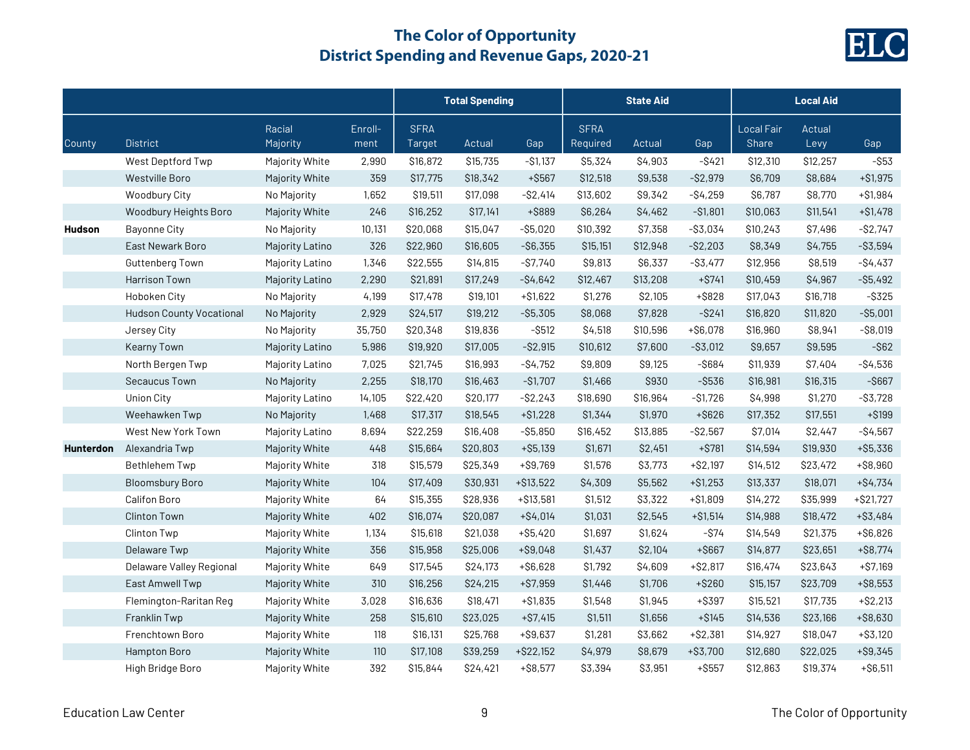

|                  |                                 |                    |                 | <b>Total Spending</b> |          |              | <b>State Aid</b>        |          |             | <b>Local Aid</b>           |                |             |
|------------------|---------------------------------|--------------------|-----------------|-----------------------|----------|--------------|-------------------------|----------|-------------|----------------------------|----------------|-------------|
| County           | <b>District</b>                 | Racial<br>Majority | Enroll-<br>ment | <b>SFRA</b><br>Target | Actual   | Gap          | <b>SFRA</b><br>Required | Actual   | Gap         | <b>Local Fair</b><br>Share | Actual<br>Levy | Gap         |
|                  | West Deptford Twp               | Majority White     | 2,990           | \$16,872              | \$15,735 | $-$1,137$    | \$5,324                 | \$4,903  | $-$ \$421   | \$12,310                   | \$12,257       | $-$ \$53    |
|                  | <b>Westville Boro</b>           | Majority White     | 359             | \$17,775              | \$18,342 | $+$ \$567    | \$12,518                | \$9,538  | $-S2,979$   | \$6,709                    | \$8,684        | $+ $1,975$  |
|                  | Woodbury City                   | No Majority        | 1,652           | \$19,511              | \$17,098 | $-$ \$2,414  | \$13,602                | \$9,342  | $-$4,259$   | \$6,787                    | \$8,770        | $+ $1,984$  |
|                  | Woodbury Heights Boro           | Majority White     | 246             | \$16,252              | \$17,141 | +\$889       | \$6,264                 | \$4,462  | $- $1,801$  | \$10,063                   | \$11,541       | $+ $1,478$  |
| <b>Hudson</b>    | <b>Bayonne City</b>             | No Majority        | 10,131          | \$20,068              | \$15,047 | $-$ \$5,020  | \$10,392                | \$7,358  | $- $3,034$  | \$10,243                   | \$7,496        | $-S2,747$   |
|                  | East Newark Boro                | Majority Latino    | 326             | \$22,960              | \$16,605 | $-$ \$6,355  | \$15,151                | \$12,948 | $-$2,203$   | \$8,349                    | \$4,755        | $-$ \$3,594 |
|                  | Guttenberg Town                 | Majority Latino    | 1,346           | \$22,555              | \$14,815 | $- $7,740$   | \$9,813                 | \$6,337  | $-$ \$3,477 | \$12,956                   | \$8,519        | $-$4,437$   |
|                  | Harrison Town                   | Majority Latino    | 2,290           | \$21,891              | \$17,249 | $-$4,642$    | \$12,467                | \$13,208 | $+ $741$    | \$10,459                   | \$4,967        | $-$ \$5,492 |
|                  | Hoboken City                    | No Majority        | 4,199           | \$17,478              | \$19,101 | $+ $1,622$   | \$1,276                 | \$2,105  | $+$ \$828   | \$17,043                   | \$16,718       | $-$ \$325   |
|                  | <b>Hudson County Vocational</b> | No Majority        | 2,929           | \$24,517              | \$19,212 | $- $5,305$   | \$8,068                 | \$7,828  | $-$ \$241   | \$16,820                   | \$11,820       | $-$ \$5,001 |
|                  | Jersey City                     | No Majority        | 35,750          | \$20,348              | \$19,836 | $-$ \$512    | \$4,518                 | \$10,596 | $+ $6,078$  | \$16,960                   | \$8,941        | $-$ \$8,019 |
|                  | <b>Kearny Town</b>              | Majority Latino    | 5,986           | \$19,920              | \$17,005 | $-$ \$2,915  | \$10,612                | \$7,600  | $-$ \$3,012 | \$9,657                    | \$9,595        | $-$ \$62    |
|                  | North Bergen Twp                | Majority Latino    | 7,025           | \$21,745              | \$16,993 | $-$4,752$    | \$9,809                 | \$9,125  | $-$ \$684   | \$11,939                   | \$7,404        | $-$ \$4,536 |
|                  | Secaucus Town                   | No Majority        | 2,255           | \$18,170              | \$16,463 | $-$1,707$    | \$1,466                 | \$930    | $-$ \$536   | \$16,981                   | \$16,315       | $-$ \$667   |
|                  | <b>Union City</b>               | Majority Latino    | 14,105          | \$22,420              | \$20,177 | $-$2,243$    | \$18,690                | \$16,964 | $-$1,726$   | \$4,998                    | \$1,270        | $-$ \$3,728 |
|                  | Weehawken Twp                   | No Majority        | 1,468           | \$17,317              | \$18,545 | $+ $1,228$   | \$1,344                 | \$1,970  | $+$ \$626   | \$17,352                   | \$17,551       | $+ $199$    |
|                  | West New York Town              | Majority Latino    | 8,694           | \$22,259              | \$16,408 | $- $5,850$   | \$16,452                | \$13,885 | $-$ \$2,567 | \$7,014                    | \$2,447        | $-$4,567$   |
| <b>Hunterdon</b> | Alexandria Twp                  | Majority White     | 448             | \$15,664              | \$20,803 | $+ $5,139$   | \$1,671                 | \$2,451  | $+$ \$781   | \$14,594                   | \$19,930       | $+ $5,336$  |
|                  | <b>Bethlehem Twp</b>            | Majority White     | 318             | \$15,579              | \$25,349 | $+$ \$9,769  | \$1,576                 | \$3,773  | $+ $2,197$  | \$14,512                   | \$23,472       | +\$8,960    |
|                  | <b>Bloomsbury Boro</b>          | Majority White     | 104             | \$17,409              | \$30,931 | $+ $13,522$  | \$4,309                 | \$5,562  | $+ $1,253$  | \$13,337                   | \$18,071       | $+ $4,734$  |
|                  | Califon Boro                    | Majority White     | 64              | \$15,355              | \$28,936 | $+ $13,581$  | \$1,512                 | \$3,322  | $+ $1,809$  | \$14,272                   | \$35,999       | $+ $21,727$ |
|                  | <b>Clinton Town</b>             | Majority White     | 402             | \$16,074              | \$20,087 | $+ $4,014$   | \$1,031                 | \$2,545  | $+ $1,514$  | \$14,988                   | \$18,472       | $+$ \$3,484 |
|                  | Clinton Twp                     | Majority White     | 1,134           | \$15,618              | \$21,038 | $+ $5,420$   | \$1,697                 | \$1,624  | $-$ \$74    | \$14,549                   | \$21,375       | $+ $6,826$  |
|                  | Delaware Twp                    | Majority White     | 356             | \$15,958              | \$25,006 | $+$ \$9,048  | \$1,437                 | \$2,104  | $+ $667$    | \$14,877                   | \$23,651       | $+$ \$8,774 |
|                  | Delaware Valley Regional        | Majority White     | 649             | \$17,545              | \$24,173 | $+ $6,628$   | \$1,792                 | \$4,609  | $+ $2,817$  | \$16,474                   | \$23,643       | $+ $7,169$  |
|                  | East Amwell Twp                 | Majority White     | 310             | \$16,256              | \$24,215 | $+ $7,959$   | \$1,446                 | \$1,706  | $+$ \$260   | \$15,157                   | \$23,709       | $+$ \$8,553 |
|                  | Flemington-Raritan Reg          | Majority White     | 3,028           | \$16,636              | \$18,471 | $+ $1,835$   | \$1,548                 | \$1,945  | +\$397      | \$15,521                   | \$17,735       | $+ $2,213$  |
|                  | Franklin Twp                    | Majority White     | 258             | \$15,610              | \$23,025 | $+ $7,415$   | \$1,511                 | \$1,656  | $+ $145$    | \$14,536                   | \$23,166       | $+$ \$8,630 |
|                  | Frenchtown Boro                 | Majority White     | 118             | \$16,131              | \$25,768 | $+ $9,637$   | \$1,281                 | \$3,662  | $+ $2,381$  | \$14,927                   | \$18,047       | $+ $3,120$  |
|                  | Hampton Boro                    | Majority White     | 110             | \$17,108              | \$39,259 | $+$ \$22,152 | \$4,979                 | \$8,679  | $+ $3,700$  | \$12,680                   | \$22,025       | $+$ \$9,345 |
|                  | High Bridge Boro                | Majority White     | 392             | \$15,844              | \$24,421 | $+ $8,577$   | \$3,394                 | \$3,951  | $+$ \$557   | \$12,863                   | \$19,374       | $+ $6,511$  |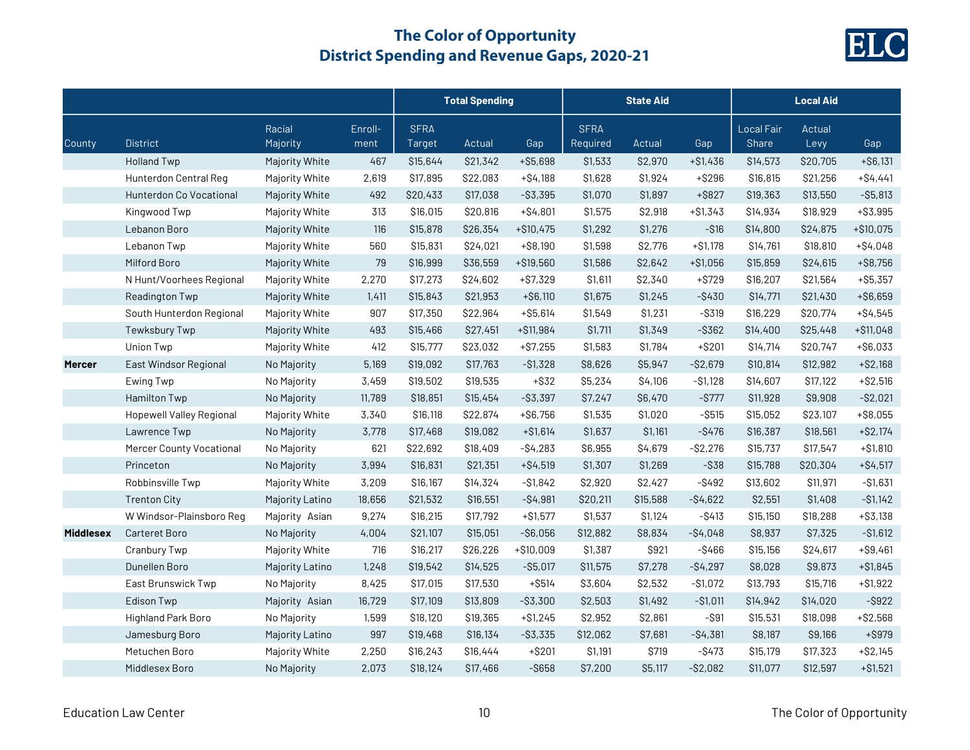

|                  |                                 |                    |                 |                       | <b>Total Spending</b> |             |                         | <b>State Aid</b> |             |                            | <b>Local Aid</b> |             |
|------------------|---------------------------------|--------------------|-----------------|-----------------------|-----------------------|-------------|-------------------------|------------------|-------------|----------------------------|------------------|-------------|
| County           | <b>District</b>                 | Racial<br>Majority | Enroll-<br>ment | <b>SFRA</b><br>Target | Actual                | Gap         | <b>SFRA</b><br>Required | Actual           | Gap         | <b>Local Fair</b><br>Share | Actual<br>Levy   | Gap         |
|                  | <b>Holland Twp</b>              | Majority White     | 467             | \$15,644              | \$21,342              | $+ $5,698$  | \$1,533                 | \$2,970          | $+ $1,436$  | \$14,573                   | \$20,705         | $+ $6,131$  |
|                  | Hunterdon Central Reg           | Majority White     | 2,619           | \$17,895              | \$22,083              | $+ $4,188$  | \$1,628                 | \$1,924          | $+ $296$    | \$16,815                   | \$21,256         | $+ $4,441$  |
|                  | Hunterdon Co Vocational         | Majority White     | 492             | \$20,433              | \$17,038              | $-$ \$3,395 | \$1,070                 | \$1,897          | $+$ \$827   | \$19,363                   | \$13,550         | $-$ \$5,813 |
|                  | Kingwood Twp                    | Majority White     | 313             | \$16,015              | \$20,816              | $+$ \$4,801 | \$1,575                 | \$2,918          | $+ $1,343$  | \$14,934                   | \$18,929         | $+ $3,995$  |
|                  | Lebanon Boro                    | Majority White     | 116             | \$15,878              | \$26,354              | $+ $10,475$ | \$1,292                 | \$1,276          | $- $16$     | \$14,800                   | \$24,875         | $+ $10,075$ |
|                  | Lebanon Twp                     | Majority White     | 560             | \$15,831              | \$24,021              | $+ $8,190$  | \$1,598                 | \$2,776          | $+ $1,178$  | \$14,761                   | \$18,810         | $+ $4,048$  |
|                  | Milford Boro                    | Majority White     | 79              | \$16,999              | \$36,559              | +\$19,560   | \$1,586                 | \$2,642          | $+ $1,056$  | \$15,859                   | \$24,615         | $+$ \$8,756 |
|                  | N Hunt/Voorhees Regional        | Majority White     | 2,270           | \$17,273              | \$24,602              | $+ $7,329$  | \$1,611                 | \$2,340          | $+ $729$    | \$16,207                   | \$21,564         | $+ $5,357$  |
|                  | Readington Twp                  | Majority White     | 1,411           | \$15,843              | \$21,953              | $+ $6,110$  | \$1,675                 | \$1,245          | $-$ \$430   | \$14,771                   | \$21,430         | $+ $6,659$  |
|                  | South Hunterdon Regional        | Majority White     | 907             | \$17,350              | \$22,964              | $+ $5,614$  | \$1,549                 | \$1,231          | $-$ \$319   | \$16,229                   | \$20,774         | $+ $4,545$  |
|                  | Tewksbury Twp                   | Majority White     | 493             | \$15,466              | \$27,451              | +\$11,984   | \$1,711                 | \$1,349          | $-$ \$362   | \$14,400                   | \$25,448         | $+ $11,048$ |
|                  | Union Twp                       | Majority White     | 412             | \$15,777              | \$23,032              | $+ $7,255$  | \$1,583                 | \$1,784          | $+ $201$    | \$14,714                   | \$20,747         | $+ $6,033$  |
| <b>Mercer</b>    | East Windsor Regional           | No Majority        | 5,169           | \$19,092              | \$17,763              | $-$1,328$   | \$8,626                 | \$5,947          | $-$ \$2,679 | \$10,814                   | \$12,982         | $+ $2,168$  |
|                  | Ewing Twp                       | No Majority        | 3,459           | \$19,502              | \$19,535              | $+$ \$32    | \$5,234                 | \$4,106          | $- $1,128$  | \$14,607                   | \$17,122         | $+ $2,516$  |
|                  | Hamilton Twp                    | No Majority        | 11,789          | \$18,851              | \$15,454              | $-$ \$3,397 | \$7,247                 | \$6,470          | $-$ \$777   | \$11,928                   | \$9,908          | $-$ \$2,021 |
|                  | <b>Hopewell Valley Regional</b> | Majority White     | 3,340           | \$16,118              | \$22,874              | $+ $6,756$  | \$1,535                 | \$1,020          | $-$ \$515   | \$15,052                   | \$23,107         | $+ $8,055$  |
|                  | Lawrence Twp                    | No Majority        | 3,778           | \$17,468              | \$19,082              | $+ $1,614$  | \$1,637                 | \$1,161          | $-$ \$476   | \$16,387                   | \$18,561         | $+ $2,174$  |
|                  | Mercer County Vocational        | No Majority        | 621             | \$22,692              | \$18,409              | $-$4,283$   | \$6,955                 | \$4,679          | $-$2,276$   | \$15,737                   | \$17,547         | $+ $1,810$  |
|                  | Princeton                       | No Majority        | 3,994           | \$16,831              | \$21,351              | $+ $4,519$  | \$1,307                 | \$1,269          | $-$ \$38    | \$15,788                   | \$20,304         | $+ $4,517$  |
|                  | Robbinsville Twp                | Majority White     | 3,209           | \$16,167              | \$14,324              | $- $1,842$  | \$2,920                 | \$2,427          | $-$ \$492   | \$13,602                   | \$11,971         | $- $1,631$  |
|                  | <b>Trenton City</b>             | Majority Latino    | 18,656          | \$21,532              | \$16,551              | $-$4,981$   | \$20,211                | \$15,588         | $-$4,622$   | \$2,551                    | \$1,408          | $- $1,142$  |
|                  | W Windsor-Plainsboro Reg        | Majority Asian     | 9,274           | \$16,215              | \$17,792              | $+ $1,577$  | \$1,537                 | \$1,124          | $-$ \$413   | \$15,150                   | \$18,288         | $+ $3,138$  |
| <b>Middlesex</b> | <b>Carteret Boro</b>            | No Majority        | 4,004           | \$21,107              | \$15,051              | $-$6,056$   | \$12,882                | \$8,834          | $-$4,048$   | \$8,937                    | \$7,325          | $-$1,612$   |
|                  | <b>Cranbury Twp</b>             | Majority White     | 716             | \$16,217              | \$26,226              | $+ $10,009$ | \$1,387                 | \$921            | $-$ \$466   | \$15,156                   | \$24,617         | $+ $9,461$  |
|                  | Dunellen Boro                   | Majority Latino    | 1,248           | \$19,542              | \$14,525              | $-$ \$5,017 | \$11,575                | \$7,278          | $-$4,297$   | \$8,028                    | \$9,873          | $+ $1,845$  |
|                  | East Brunswick Twp              | No Majority        | 8,425           | \$17,015              | \$17,530              | $+$ \$514   | \$3,604                 | \$2,532          | $-$ \$1,072 | \$13,793                   | \$15,716         | $+ $1,922$  |
|                  | Edison Twp                      | Majority Asian     | 16,729          | \$17,109              | \$13,809              | $-$ \$3,300 | \$2,503                 | \$1,492          | $-$1,011$   | \$14,942                   | \$14,020         | $-$ \$922   |
|                  | Highland Park Boro              | No Majority        | 1,599           | \$18,120              | \$19,365              | $+ $1,245$  | \$2,952                 | \$2,861          | $-$ \$91    | \$15,531                   | \$18,098         | $+ $2,568$  |
|                  | Jamesburg Boro                  | Majority Latino    | 997             | \$19,468              | \$16,134              | $-$ \$3,335 | \$12,062                | \$7,681          | $-$4,381$   | \$8,187                    | \$9,166          | $+$ \$979   |
|                  | Metuchen Boro                   | Majority White     | 2,250           | \$16,243              | \$16,444              | $+$ \$201   | \$1,191                 | \$719            | $-$ \$473   | \$15,179                   | \$17,323         | $+ $2,145$  |
|                  | Middlesex Boro                  | No Majority        | 2,073           | \$18,124              | \$17,466              | $-$ \$658   | \$7,200                 | \$5,117          | $-$2,082$   | \$11,077                   | \$12,597         | $+ $1,521$  |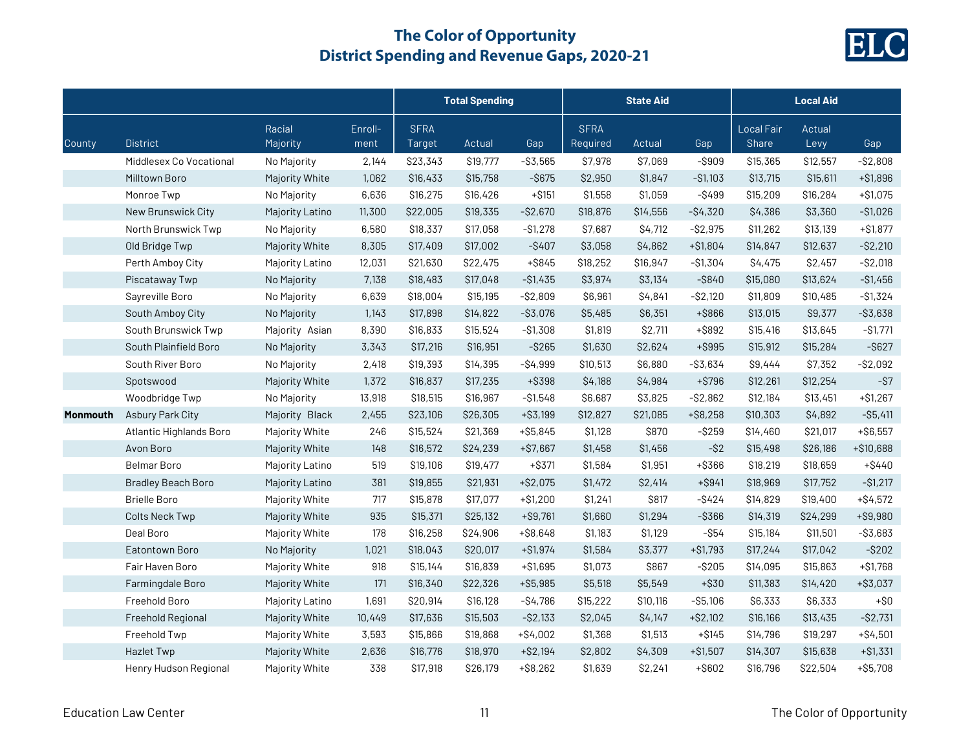

|                 |                           |                    |                 | <b>Total Spending</b> |          |             | <b>State Aid</b>        |          |             | <b>Local Aid</b>           |                |             |
|-----------------|---------------------------|--------------------|-----------------|-----------------------|----------|-------------|-------------------------|----------|-------------|----------------------------|----------------|-------------|
| County          | <b>District</b>           | Racial<br>Majority | Enroll-<br>ment | <b>SFRA</b><br>Target | Actual   | Gap         | <b>SFRA</b><br>Required | Actual   | Gap         | <b>Local Fair</b><br>Share | Actual<br>Levy | Gap         |
|                 | Middlesex Co Vocational   | No Majority        | 2,144           | \$23,343              | \$19,777 | $- $3,565$  | \$7,978                 | \$7,069  | $-$ \$909   | \$15,365                   | \$12,557       | $-$ \$2,808 |
|                 | Milltown Boro             | Majority White     | 1,062           | \$16,433              | \$15,758 | $-$ \$675   | \$2,950                 | \$1,847  | $-$1,103$   | \$13,715                   | \$15,611       | $+ $1,896$  |
|                 | Monroe Twp                | No Majority        | 6,636           | \$16,275              | \$16,426 | $+ $151$    | \$1,558                 | \$1,059  | $-$ \$499   | \$15,209                   | \$16,284       | $+ $1,075$  |
|                 | New Brunswick City        | Majority Latino    | 11,300          | \$22,005              | \$19,335 | $-$ \$2,670 | \$18,876                | \$14,556 | $-$4,320$   | \$4,386                    | \$3,360        | $-$1,026$   |
|                 | North Brunswick Twp       | No Majority        | 6,580           | \$18,337              | \$17,058 | $-$1,278$   | \$7,687                 | \$4,712  | $-S2,975$   | \$11,262                   | \$13,139       | $+ $1,877$  |
|                 | Old Bridge Twp            | Majority White     | 8,305           | \$17,409              | \$17,002 | $-$ \$407   | \$3,058                 | \$4,862  | $+ $1,804$  | \$14,847                   | \$12,637       | $-$ \$2,210 |
|                 | Perth Amboy City          | Majority Latino    | 12,031          | \$21,630              | \$22,475 | $+$ \$845   | \$18,252                | \$16,947 | $- $1,304$  | \$4,475                    | \$2,457        | $-$ \$2,018 |
|                 | Piscataway Twp            | No Majority        | 7,138           | \$18,483              | \$17,048 | $-$1,435$   | \$3,974                 | \$3,134  | $-$ \$840   | \$15,080                   | \$13,624       | $- $1,456$  |
|                 | Sayreville Boro           | No Majority        | 6,639           | \$18,004              | \$15,195 | $-$2,809$   | \$6,961                 | \$4,841  | $-$ \$2,120 | \$11,809                   | \$10,485       | $- $1,324$  |
|                 | South Amboy City          | No Majority        | 1,143           | \$17,898              | \$14,822 | $- $3,076$  | \$5,485                 | \$6,351  | +\$866      | \$13,015                   | \$9,377        | $-$ \$3,638 |
|                 | South Brunswick Twp       | Majority Asian     | 8,390           | \$16,833              | \$15,524 | $-$1,308$   | \$1,819                 | \$2,711  | +\$892      | \$15,416                   | \$13,645       | $-S1,771$   |
|                 | South Plainfield Boro     | No Majority        | 3,343           | \$17,216              | \$16,951 | $-$ \$265   | \$1,630                 | \$2,624  | +\$995      | \$15,912                   | \$15,284       | $-$ \$627   |
|                 | South River Boro          | No Majority        | 2,418           | \$19,393              | \$14,395 | $-$4,999$   | \$10,513                | \$6,880  | $-$ \$3,634 | \$9,444                    | \$7,352        | $-$ \$2,092 |
|                 | Spotswood                 | Majority White     | 1,372           | \$16,837              | \$17,235 | +\$398      | \$4,188                 | \$4,984  | $+ $796$    | \$12,261                   | \$12,254       | $-S7$       |
|                 | Woodbridge Twp            | No Majority        | 13,918          | \$18,515              | \$16,967 | $- $1,548$  | \$6,687                 | \$3,825  | $-$2,862$   | \$12,184                   | \$13,451       | $+ $1,267$  |
| <b>Monmouth</b> | Asbury Park City          | Majority Black     | 2,455           | \$23,106              | \$26,305 | $+ $3,199$  | \$12,827                | \$21,085 | $+ $8,258$  | \$10,303                   | \$4,892        | $-$ \$5,411 |
|                 | Atlantic Highlands Boro   | Majority White     | 246             | \$15,524              | \$21,369 | $+ $5,845$  | \$1,128                 | \$870    | $-$ \$259   | \$14,460                   | \$21,017       | $+ $6,557$  |
|                 | Avon Boro                 | Majority White     | 148             | \$16,572              | \$24,239 | $+ $7,667$  | \$1,458                 | \$1,456  | $-$ \$2     | \$15,498                   | \$26,186       | +\$10,688   |
|                 | <b>Belmar Boro</b>        | Majority Latino    | 519             | \$19,106              | \$19,477 | $+$ \$371   | \$1,584                 | \$1,951  | +\$366      | \$18,219                   | \$18,659       | $+ $440$    |
|                 | <b>Bradley Beach Boro</b> | Majority Latino    | 381             | \$19,855              | \$21,931 | $+ $2,075$  | \$1,472                 | \$2,414  | $+$ \$941   | \$18,969                   | \$17,752       | $-$1,217$   |
|                 | <b>Brielle Boro</b>       | Majority White     | 717             | \$15,878              | \$17,077 | $+ $1,200$  | \$1,241                 | \$817    | $-$ \$424   | \$14,829                   | \$19,400       | $+ $4,572$  |
|                 | <b>Colts Neck Twp</b>     | Majority White     | 935             | \$15,371              | \$25,132 | $+$ \$9,761 | \$1,660                 | \$1,294  | $-$ \$366   | \$14,319                   | \$24,299       | $+ $9,980$  |
|                 | Deal Boro                 | Majority White     | 178             | \$16,258              | \$24,906 | $+ $8,648$  | \$1,183                 | \$1,129  | $-$ \$54    | \$15,184                   | \$11,501       | $-$ \$3,683 |
|                 | Eatontown Boro            | No Majority        | 1,021           | \$18,043              | \$20,017 | $+ $1,974$  | \$1,584                 | \$3,377  | $+ $1,793$  | \$17,244                   | \$17,042       | $-$ \$202   |
|                 | Fair Haven Boro           | Majority White     | 918             | \$15,144              | \$16,839 | $+ $1,695$  | \$1,073                 | \$867    | $-$ \$205   | \$14,095                   | \$15,863       | $+ $1,768$  |
|                 | Farmingdale Boro          | Majority White     | 171             | \$16,340              | \$22,326 | $+ $5,985$  | \$5,518                 | \$5,549  | $+$ \$30    | \$11,383                   | \$14,420       | $+ $3,037$  |
|                 | Freehold Boro             | Majority Latino    | 1,691           | \$20,914              | \$16,128 | $-$4,786$   | \$15,222                | \$10,116 | $-$ \$5,106 | \$6,333                    | \$6,333        | $+ $0$      |
|                 | Freehold Regional         | Majority White     | 10,449          | \$17,636              | \$15,503 | $-$ \$2,133 | \$2,045                 | \$4,147  | $+ $2,102$  | \$16,166                   | \$13,435       | $-$ \$2,731 |
|                 | Freehold Twp              | Majority White     | 3,593           | \$15,866              | \$19,868 | $+ $4,002$  | \$1,368                 | \$1,513  | $+ $145$    | \$14,796                   | \$19,297       | $+ $4,501$  |
|                 | <b>Hazlet Twp</b>         | Majority White     | 2,636           | \$16,776              | \$18,970 | $+ $2,194$  | \$2,802                 | \$4,309  | $+ $1,507$  | \$14,307                   | \$15,638       | $+ $1,331$  |
|                 | Henry Hudson Regional     | Majority White     | 338             | \$17,918              | \$26,179 | $+ $8,262$  | \$1,639                 | \$2,241  | $+$ \$602   | \$16,796                   | \$22,504       | $+ $5,708$  |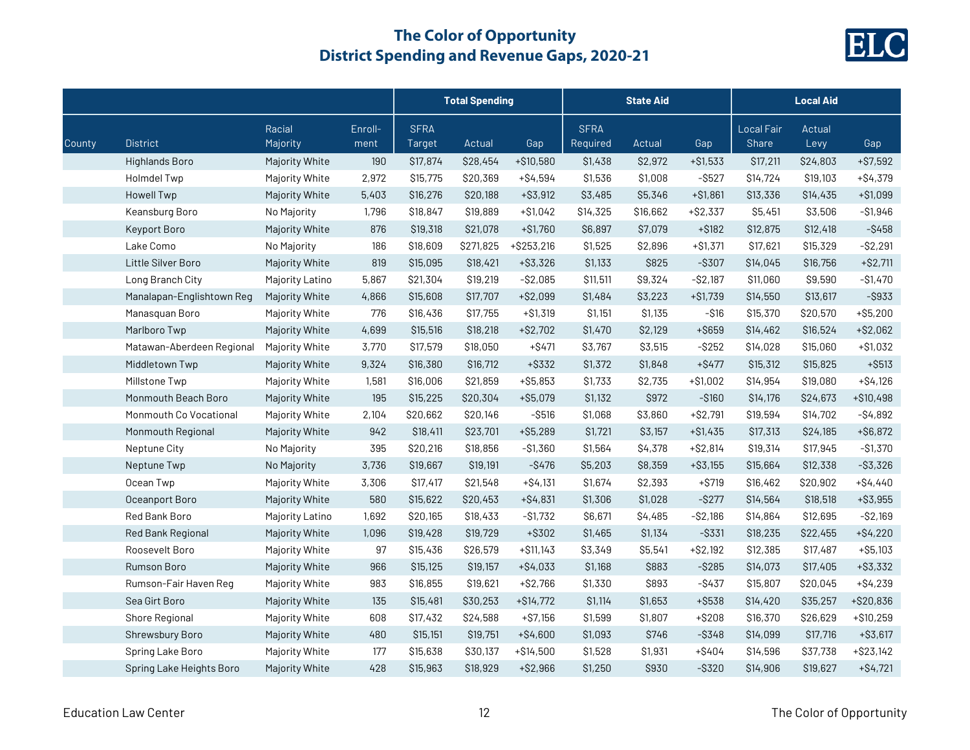

|        |                           |                    |                 | <b>Total Spending</b> |           |              | <b>State Aid</b>        |          |             | <b>Local Aid</b>                  |                |             |
|--------|---------------------------|--------------------|-----------------|-----------------------|-----------|--------------|-------------------------|----------|-------------|-----------------------------------|----------------|-------------|
| County | <b>District</b>           | Racial<br>Majority | Enroll-<br>ment | <b>SFRA</b><br>Target | Actual    | Gap          | <b>SFRA</b><br>Required | Actual   | Gap         | <b>Local Fair</b><br><b>Share</b> | Actual<br>Levy | Gap         |
|        | Highlands Boro            | Majority White     | 190             | \$17,874              | \$28,454  | +\$10,580    | \$1,438                 | \$2,972  | $+ $1,533$  | \$17,211                          | \$24,803       | $+ $7,592$  |
|        | <b>Holmdel Twp</b>        | Majority White     | 2,972           | \$15,775              | \$20,369  | $+ $4,594$   | \$1,536                 | \$1,008  | $-$ \$527   | \$14,724                          | \$19,103       | $+ $4,379$  |
|        | <b>Howell Twp</b>         | Majority White     | 5,403           | \$16,276              | \$20,188  | $+ $3,912$   | \$3,485                 | \$5,346  | $+ $1,861$  | \$13,336                          | \$14,435       | $+ $1,099$  |
|        | Keansburg Boro            | No Majority        | 1,796           | \$18,847              | \$19,889  | $+ $1,042$   | \$14,325                | \$16,662 | $+ $2,337$  | \$5,451                           | \$3,506        | $- $1,946$  |
|        | Keyport Boro              | Majority White     | 876             | \$19,318              | \$21,078  | $+ $1,760$   | \$6,897                 | \$7,079  | $+ $182$    | \$12,875                          | \$12,418       | $-$ \$458   |
|        | Lake Como                 | No Majority        | 186             | \$18,609              | \$271,825 | $+ $253,216$ | \$1,525                 | \$2,896  | $+ $1,371$  | \$17,621                          | \$15,329       | $-$ \$2,291 |
|        | Little Silver Boro        | Majority White     | 819             | \$15,095              | \$18,421  | $+ $3,326$   | \$1,133                 | \$825    | $-$ \$307   | \$14,045                          | \$16,756       | $+$ \$2,711 |
|        | Long Branch City          | Majority Latino    | 5,867           | \$21,304              | \$19,219  | $-$ \$2,085  | \$11,511                | \$9,324  | $-$ \$2,187 | \$11,060                          | \$9,590        | $-$1,470$   |
|        | Manalapan-Englishtown Reg | Majority White     | 4,866           | \$15,608              | \$17,707  | $+ $2,099$   | \$1,484                 | \$3,223  | $+ $1,739$  | \$14,550                          | \$13,617       | $-$ \$933   |
|        | Manasquan Boro            | Majority White     | 776             | \$16,436              | \$17,755  | $+ $1,319$   | \$1,151                 | \$1,135  | $- $16$     | \$15,370                          | \$20,570       | $+ $5,200$  |
|        | Marlboro Twp              | Majority White     | 4,699           | \$15,516              | \$18,218  | $+ $2,702$   | \$1,470                 | \$2,129  | +\$659      | \$14,462                          | \$16,524       | $+ $2,062$  |
|        | Matawan-Aberdeen Regional | Majority White     | 3,770           | \$17,579              | \$18,050  | $+$ \$471    | \$3,767                 | \$3,515  | $-$ \$252   | \$14,028                          | \$15,060       | $+ $1,032$  |
|        | Middletown Twp            | Majority White     | 9,324           | \$16,380              | \$16,712  | $+$ \$332    | \$1,372                 | \$1,848  | $+$ \$477   | \$15,312                          | \$15,825       | $+$ \$513   |
|        | Millstone Twp             | Majority White     | 1,581           | \$16,006              | \$21,859  | $+ $5,853$   | \$1,733                 | \$2,735  | $+ $1,002$  | \$14,954                          | \$19,080       | $+ $4,126$  |
|        | Monmouth Beach Boro       | Majority White     | 195             | \$15,225              | \$20,304  | $+ $5,079$   | \$1,132                 | \$972    | $-$ \$160   | \$14,176                          | \$24,673       | $+ $10,498$ |
|        | Monmouth Co Vocational    | Majority White     | 2,104           | \$20,662              | \$20,146  | $-$ \$516    | \$1,068                 | \$3,860  | $+ $2,791$  | \$19,594                          | \$14,702       | $-$4,892$   |
|        | Monmouth Regional         | Majority White     | 942             | \$18,411              | \$23,701  | $+ $5,289$   | \$1,721                 | \$3,157  | $+ $1,435$  | \$17,313                          | \$24,185       | $+ $6,872$  |
|        | Neptune City              | No Majority        | 395             | \$20,216              | \$18,856  | $- $1,360$   | \$1,564                 | \$4,378  | $+ $2,814$  | \$19,314                          | \$17,945       | $-$1,370$   |
|        | Neptune Twp               | No Majority        | 3,736           | \$19,667              | \$19,191  | $-$ \$476    | \$5,203                 | \$8,359  | $+ $3,155$  | \$15,664                          | \$12,338       | $-$ \$3,326 |
|        | Ocean Twp                 | Majority White     | 3,306           | \$17,417              | \$21,548  | $+ $4,131$   | \$1,674                 | \$2,393  | $+ $719$    | \$16,462                          | \$20,902       | $+ $4,440$  |
|        | Oceanport Boro            | Majority White     | 580             | \$15,622              | \$20,453  | $+ $4,831$   | \$1,306                 | \$1,028  | $-$ \$277   | \$14,564                          | \$18,518       | $+ $3,955$  |
|        | Red Bank Boro             | Majority Latino    | 1,692           | \$20,165              | \$18,433  | $-$1,732$    | \$6,671                 | \$4,485  | $-$ \$2,186 | \$14,864                          | \$12,695       | $-$ \$2,169 |
|        | Red Bank Regional         | Majority White     | 1,096           | \$19,428              | \$19,729  | +\$302       | \$1,465                 | \$1,134  | $-$ \$331   | \$18,235                          | \$22,455       | $+ $4,220$  |
|        | Roosevelt Boro            | Majority White     | 97              | \$15,436              | \$26,579  | $+ $11,143$  | \$3,349                 | \$5,541  | $+ $2,192$  | \$12,385                          | \$17,487       | $+ $5,103$  |
|        | <b>Rumson Boro</b>        | Majority White     | 966             | \$15,125              | \$19,157  | $+$ \$4,033  | \$1,168                 | \$883    | $-$ \$285   | \$14,073                          | \$17,405       | $+ $3,332$  |
|        | Rumson-Fair Haven Reg     | Majority White     | 983             | \$16,855              | \$19,621  | $+ $2,766$   | \$1,330                 | \$893    | $-$ \$437   | \$15,807                          | \$20,045       | $+ $4,239$  |
|        | Sea Girt Boro             | Majority White     | 135             | \$15,481              | \$30,253  | $+ $14,772$  | \$1,114                 | \$1,653  | +\$538      | \$14,420                          | \$35,257       | $+ $20,836$ |
|        | Shore Regional            | Majority White     | 608             | \$17,432              | \$24,588  | $+ $7,156$   | \$1,599                 | \$1,807  | $+ $208$    | \$16,370                          | \$26,629       | $+ $10,259$ |
|        | Shrewsbury Boro           | Majority White     | 480             | \$15,151              | \$19,751  | $+ $4,600$   | \$1,093                 | \$746    | $-$ \$348   | \$14,099                          | \$17,716       | $+$ \$3,617 |
|        | Spring Lake Boro          | Majority White     | 177             | \$15,638              | \$30,137  | $+ $14,500$  | \$1,528                 | \$1,931  | +\$404      | \$14,596                          | \$37,738       | $+ $23,142$ |
|        | Spring Lake Heights Boro  | Majority White     | 428             | \$15,963              | \$18,929  | $+ $2,966$   | \$1,250                 | \$930    | $-$ \$320   | \$14,906                          | \$19,627       | $+ $4,721$  |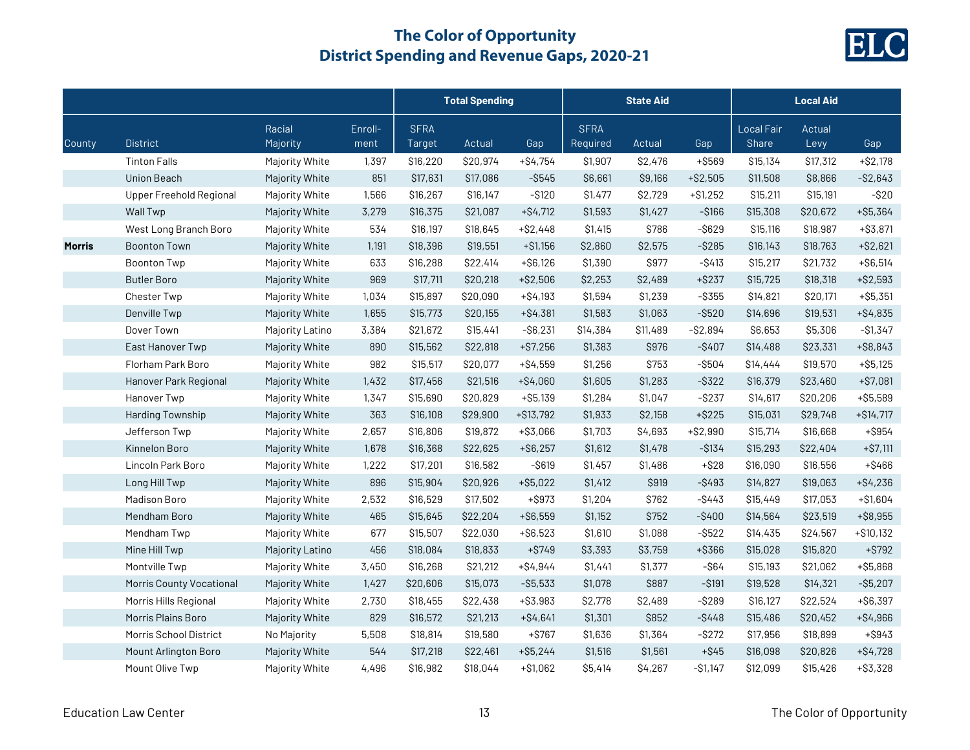

|               |                                 |                    |                 | <b>Total Spending</b> |          |             | <b>State Aid</b>        |          |             | <b>Local Aid</b>           |                |             |  |
|---------------|---------------------------------|--------------------|-----------------|-----------------------|----------|-------------|-------------------------|----------|-------------|----------------------------|----------------|-------------|--|
| County        | <b>District</b>                 | Racial<br>Majority | Enroll-<br>ment | <b>SFRA</b><br>Target | Actual   | Gap         | <b>SFRA</b><br>Required | Actual   | Gap         | Local Fair<br><b>Share</b> | Actual<br>Levy | Gap         |  |
|               | <b>Tinton Falls</b>             | Majority White     | 1,397           | \$16,220              | \$20,974 | $+ $4,754$  | \$1,907                 | \$2,476  | +\$569      | \$15,134                   | \$17,312       | $+ $2,178$  |  |
|               | Union Beach                     | Majority White     | 851             | \$17,631              | \$17,086 | $-$ \$545   | \$6,661                 | \$9,166  | $+ $2,505$  | \$11,508                   | \$8,866        | $-$ \$2,643 |  |
|               | <b>Upper Freehold Regional</b>  | Majority White     | 1,566           | \$16,267              | \$16,147 | $-$ \$120   | \$1,477                 | \$2,729  | $+ $1,252$  | \$15,211                   | \$15,191       | $-$ \$20    |  |
|               | Wall Twp                        | Majority White     | 3,279           | \$16,375              | \$21,087 | $+ $4,712$  | \$1,593                 | \$1,427  | $-$ \$166   | \$15,308                   | \$20,672       | $+ $5,364$  |  |
|               | West Long Branch Boro           | Majority White     | 534             | \$16,197              | \$18,645 | $+ $2,448$  | \$1,415                 | \$786    | $-$ \$629   | \$15,116                   | \$18,987       | $+ $3,871$  |  |
| <b>Morris</b> | <b>Boonton Town</b>             | Majority White     | 1,191           | \$18,396              | \$19,551 | $+ $1,156$  | \$2,860                 | \$2,575  | $-$ \$285   | \$16,143                   | \$18,763       | $+ $2,621$  |  |
|               | <b>Boonton Twp</b>              | Majority White     | 633             | \$16,288              | \$22,414 | $+ $6,126$  | \$1,390                 | \$977    | $-$ \$413   | \$15,217                   | \$21,732       | $+ $6,514$  |  |
|               | <b>Butler Boro</b>              | Majority White     | 969             | \$17,711              | \$20,218 | $+ $2,506$  | \$2,253                 | \$2,489  | $+$ \$237   | \$15,725                   | \$18,318       | $+ $2,593$  |  |
|               | <b>Chester Twp</b>              | Majority White     | 1,034           | \$15,897              | \$20,090 | $+ $4,193$  | \$1,594                 | \$1,239  | $-$ \$355   | \$14,821                   | \$20,171       | $+ $5,351$  |  |
|               | Denville Twp                    | Majority White     | 1,655           | \$15,773              | \$20,155 | $+ $4,381$  | \$1,583                 | \$1,063  | $-$ \$520   | \$14,696                   | \$19,531       | $+ $4,835$  |  |
|               | Dover Town                      | Majority Latino    | 3,384           | \$21,672              | \$15,441 | $-$ \$6,231 | \$14,384                | \$11,489 | $-$ \$2,894 | \$6,653                    | \$5,306        | $-$1,347$   |  |
|               | East Hanover Twp                | Majority White     | 890             | \$15,562              | \$22,818 | $+ $7,256$  | \$1,383                 | \$976    | $-$ \$407   | \$14,488                   | \$23,331       | $+ $8,843$  |  |
|               | Florham Park Boro               | Majority White     | 982             | \$15,517              | \$20,077 | $+ $4,559$  | \$1,256                 | \$753    | $-$ \$504   | \$14,444                   | \$19,570       | $+ $5,125$  |  |
|               | Hanover Park Regional           | Majority White     | 1,432           | \$17,456              | \$21,516 | $+ $4,060$  | \$1,605                 | \$1,283  | $-$ \$322   | \$16,379                   | \$23,460       | $+ $7,081$  |  |
|               | Hanover Twp                     | Majority White     | 1,347           | \$15,690              | \$20,829 | $+ $5,139$  | \$1,284                 | \$1,047  | $-$ \$237   | \$14,617                   | \$20,206       | $+ $5,589$  |  |
|               | Harding Township                | Majority White     | 363             | \$16,108              | \$29,900 | $+ $13,792$ | \$1,933                 | \$2,158  | $+$ \$225   | \$15,031                   | \$29,748       | $+ $14,717$ |  |
|               | Jefferson Twp                   | Majority White     | 2,657           | \$16,806              | \$19,872 | $+ $3,066$  | \$1,703                 | \$4,693  | $+ $2,990$  | \$15,714                   | \$16,668       | +\$954      |  |
|               | Kinnelon Boro                   | Majority White     | 1,678           | \$16,368              | \$22,625 | $+ $6,257$  | \$1,612                 | \$1,478  | $-$ \$134   | \$15,293                   | \$22,404       | $+ $7,111$  |  |
|               | Lincoln Park Boro               | Majority White     | 1,222           | \$17,201              | \$16,582 | $-$ \$619   | \$1,457                 | \$1,486  | $+ $28$     | \$16,090                   | \$16,556       | $+ $466$    |  |
|               | Long Hill Twp                   | Majority White     | 896             | \$15,904              | \$20,926 | $+ $5,022$  | \$1,412                 | \$919    | $-$ \$493   | \$14,827                   | \$19,063       | $+ $4,236$  |  |
|               | Madison Boro                    | Majority White     | 2,532           | \$16,529              | \$17,502 | +\$973      | \$1,204                 | \$762    | $-$ \$443   | \$15,449                   | \$17,053       | $+ $1,604$  |  |
|               | Mendham Boro                    | Majority White     | 465             | \$15,645              | \$22,204 | $+ $6,559$  | \$1,152                 | \$752    | $-$ \$400   | \$14,564                   | \$23,519       | $+ $8,955$  |  |
|               | Mendham Twp                     | Majority White     | 677             | \$15,507              | \$22,030 | $+ $6,523$  | \$1,610                 | \$1,088  | $-$ \$522   | \$14,435                   | \$24,567       | $+ $10,132$ |  |
|               | Mine Hill Twp                   | Majority Latino    | 456             | \$18,084              | \$18,833 | $+ $749$    | \$3,393                 | \$3,759  | +\$366      | \$15,028                   | \$15,820       | $+$ \$792   |  |
|               | Montville Twp                   | Majority White     | 3,450           | \$16,268              | \$21,212 | $+ $4,944$  | \$1,441                 | \$1,377  | $ $64$      | \$15,193                   | \$21,062       | $+ $5,868$  |  |
|               | <b>Morris County Vocational</b> | Majority White     | 1,427           | \$20,606              | \$15,073 | $-$ \$5,533 | \$1,078                 | \$887    | $-$ \$191   | \$19,528                   | \$14,321       | $-$ \$5,207 |  |
|               | Morris Hills Regional           | Majority White     | 2,730           | \$18,455              | \$22,438 | $+ $3,983$  | \$2,778                 | \$2,489  | $-$ \$289   | \$16,127                   | \$22,524       | $+ $6,397$  |  |
|               | Morris Plains Boro              | Majority White     | 829             | \$16,572              | \$21,213 | $+ $4,641$  | \$1,301                 | \$852    | $-$ \$448   | \$15,486                   | \$20,452       | $+ $4,966$  |  |
|               | Morris School District          | No Majority        | 5,508           | \$18,814              | \$19,580 | $+ $767$    | \$1,636                 | \$1,364  | $-$ \$272   | \$17,956                   | \$18,899       | $+$ \$943   |  |
|               | Mount Arlington Boro            | Majority White     | 544             | \$17,218              | \$22,461 | $+ $5,244$  | \$1,516                 | \$1,561  | $+ $45$     | \$16,098                   | \$20,826       | $+ $4,728$  |  |
|               | Mount Olive Twp                 | Majority White     | 4,496           | \$16,982              | \$18,044 | $+ $1,062$  | \$5,414                 | \$4,267  | $-S1,147$   | \$12,099                   | \$15,426       | $+ $3,328$  |  |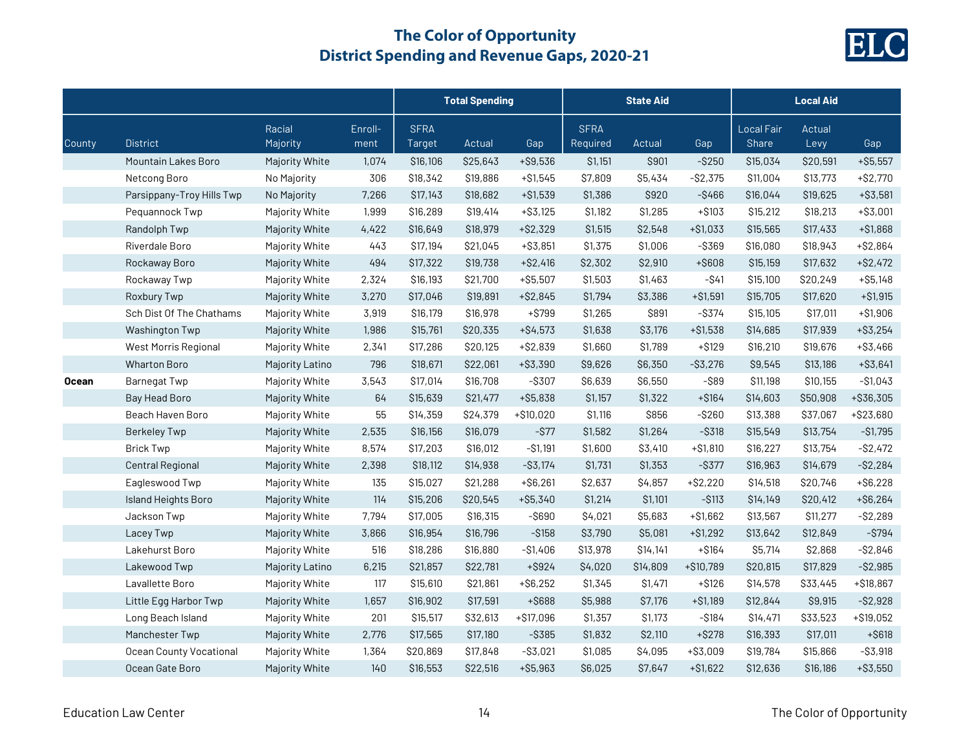

|              |                                |                    |                 |                              | <b>Total Spending</b> |             |                         | <b>State Aid</b> |            |                                   | <b>Local Aid</b> |             |
|--------------|--------------------------------|--------------------|-----------------|------------------------------|-----------------------|-------------|-------------------------|------------------|------------|-----------------------------------|------------------|-------------|
| County       | <b>District</b>                | Racial<br>Majority | Enroll-<br>ment | <b>SFRA</b><br><b>Target</b> | Actual                | Gap         | <b>SFRA</b><br>Required | Actual           | Gap        | <b>Local Fair</b><br><b>Share</b> | Actual<br>Levy   | Gap         |
|              | Mountain Lakes Boro            | Majority White     | 1,074           | \$16,106                     | \$25,643              | $+ $9,536$  | \$1,151                 | \$901            | $-$ \$250  | \$15,034                          | \$20,591         | $+ $5,557$  |
|              | Netcong Boro                   | No Majority        | 306             | \$18,342                     | \$19,886              | $+ $1,545$  | \$7,809                 | \$5,434          | $-S2,375$  | \$11,004                          | \$13,773         | $+ $2,770$  |
|              | Parsippany-Troy Hills Twp      | No Majority        | 7,266           | \$17,143                     | \$18,682              | $+ $1,539$  | \$1,386                 | \$920            | $-$ \$466  | \$16,044                          | \$19,625         | $+ $3,581$  |
|              | Pequannock Twp                 | Majority White     | 1,999           | \$16,289                     | \$19,414              | $+ $3,125$  | \$1,182                 | \$1,285          | $+ $103$   | \$15,212                          | \$18,213         | $+ $3,001$  |
|              | Randolph Twp                   | Majority White     | 4,422           | \$16,649                     | \$18,979              | $+ $2,329$  | \$1,515                 | \$2,548          | $+ $1,033$ | \$15,565                          | \$17,433         | $+ $1,868$  |
|              | Riverdale Boro                 | Majority White     | 443             | \$17,194                     | \$21,045              | $+ $3,851$  | \$1,375                 | \$1,006          | $-$ \$369  | \$16,080                          | \$18,943         | $+ $2,864$  |
|              | Rockaway Boro                  | Majority White     | 494             | \$17,322                     | \$19,738              | $+ $2,416$  | \$2,302                 | \$2,910          | +\$608     | \$15,159                          | \$17,632         | $+ $2,472$  |
|              | Rockaway Twp                   | Majority White     | 2,324           | \$16,193                     | \$21,700              | $+ $5,507$  | \$1,503                 | \$1,463          | $-$ \$41   | \$15,100                          | \$20,249         | $+ $5,148$  |
|              | Roxbury Twp                    | Majority White     | 3,270           | \$17,046                     | \$19,891              | $+ $2,845$  | \$1,794                 | \$3,386          | $+ $1,591$ | \$15,705                          | \$17,620         | $+ $1,915$  |
|              | Sch Dist Of The Chathams       | Majority White     | 3,919           | \$16,179                     | \$16,978              | $+$ \$799   | \$1,265                 | \$891            | $-$ \$374  | \$15,105                          | \$17,011         | $+ $1,906$  |
|              | Washington Twp                 | Majority White     | 1,986           | \$15,761                     | \$20,335              | $+ $4,573$  | \$1,638                 | \$3,176          | $+ $1,538$ | \$14,685                          | \$17,939         | $+ $3,254$  |
|              | West Morris Regional           | Majority White     | 2,341           | \$17,286                     | \$20,125              | $+ $2,839$  | \$1,660                 | \$1,789          | $+ $129$   | \$16,210                          | \$19,676         | $+ $3,466$  |
|              | <b>Wharton Boro</b>            | Majority Latino    | 796             | \$18,671                     | \$22,061              | $+ $3,390$  | \$9,626                 | \$6,350          | $- $3,276$ | \$9,545                           | \$13,186         | $+ $3,641$  |
| <b>Ocean</b> | <b>Barnegat Twp</b>            | Majority White     | 3,543           | \$17,014                     | \$16,708              | $-$ \$307   | \$6,639                 | \$6,550          | $-$ \$89   | \$11,198                          | \$10,155         | $-$1,043$   |
|              | Bay Head Boro                  | Majority White     | 64              | \$15,639                     | \$21,477              | $+ $5,838$  | \$1,157                 | \$1,322          | $+ $164$   | \$14,603                          | \$50,908         | +\$36,305   |
|              | Beach Haven Boro               | Majority White     | 55              | \$14,359                     | \$24,379              | $+ $10,020$ | \$1,116                 | \$856            | $-$ \$260  | \$13,388                          | \$37,067         | +\$23,680   |
|              | <b>Berkeley Twp</b>            | Majority White     | 2,535           | \$16,156                     | \$16,079              | $-$ \$77    | \$1,582                 | \$1,264          | $-$ \$318  | \$15,549                          | \$13,754         | $-$1,795$   |
|              | <b>Brick Twp</b>               | Majority White     | 8,574           | \$17,203                     | \$16,012              | $- $1,191$  | \$1,600                 | \$3,410          | $+ $1,810$ | \$16,227                          | \$13,754         | $-S2,472$   |
|              | <b>Central Regional</b>        | Majority White     | 2,398           | \$18,112                     | \$14,938              | $-$ \$3,174 | \$1,731                 | \$1,353          | $-$ \$377  | \$16,963                          | \$14,679         | $-$ \$2,284 |
|              | Eagleswood Twp                 | Majority White     | 135             | \$15,027                     | \$21,288              | $+ $6,261$  | \$2,637                 | \$4,857          | $+ $2,220$ | \$14,518                          | \$20,746         | $+ $6,228$  |
|              | Island Heights Boro            | Majority White     | 114             | \$15,206                     | \$20,545              | $+ $5,340$  | \$1,214                 | \$1,101          | $-$ \$113  | \$14,149                          | \$20,412         | $+ $6,264$  |
|              | Jackson Twp                    | Majority White     | 7,794           | \$17,005                     | \$16,315              | $-$ \$690   | \$4,021                 | \$5,683          | $+ $1,662$ | \$13,567                          | \$11,277         | $-$2,289$   |
|              | Lacey Twp                      | Majority White     | 3,866           | \$16,954                     | \$16,796              | $-$ \$158   | \$3,790                 | \$5,081          | $+ $1,292$ | \$13,642                          | \$12,849         | $-$ \$794   |
|              | Lakehurst Boro                 | Majority White     | 516             | \$18,286                     | \$16,880              | $-$1,406$   | \$13,978                | \$14,141         | $+ $164$   | \$5,714                           | \$2,868          | $-$ \$2,846 |
|              | Lakewood Twp                   | Majority Latino    | 6,215           | \$21,857                     | \$22,781              | $+$ \$924   | \$4,020                 | \$14,809         | +\$10,789  | \$20,815                          | \$17,829         | $-$ \$2,985 |
|              | Lavallette Boro                | Majority White     | 117             | \$15,610                     | \$21,861              | $+ $6,252$  | \$1,345                 | \$1,471          | $+ $126$   | \$14,578                          | \$33,445         | +\$18,867   |
|              | Little Egg Harbor Twp          | Majority White     | 1,657           | \$16,902                     | \$17,591              | +\$688      | \$5,988                 | \$7,176          | $+ $1,189$ | \$12,844                          | \$9,915          | $-$ \$2,928 |
|              | Long Beach Island              | Majority White     | 201             | \$15,517                     | \$32,613              | $+ $17,096$ | \$1,357                 | \$1,173          | $-$ \$184  | \$14,471                          | \$33,523         | $+ $19,052$ |
|              | Manchester Twp                 | Majority White     | 2,776           | \$17,565                     | \$17,180              | $-$ \$385   | \$1,832                 | \$2,110          | $+ $278$   | \$16,393                          | \$17,011         | $+$ \$618   |
|              | <b>Ocean County Vocational</b> | Majority White     | 1,364           | \$20,869                     | \$17,848              | $-$ \$3,021 | \$1,085                 | \$4,095          | $+ $3,009$ | \$19,784                          | \$15,866         | $- $3,918$  |
|              | Ocean Gate Boro                | Majority White     | 140             | \$16,553                     | \$22,516              | $+ $5,963$  | \$6,025                 | \$7,647          | $+ $1,622$ | \$12,636                          | \$16,186         | $+ $3,550$  |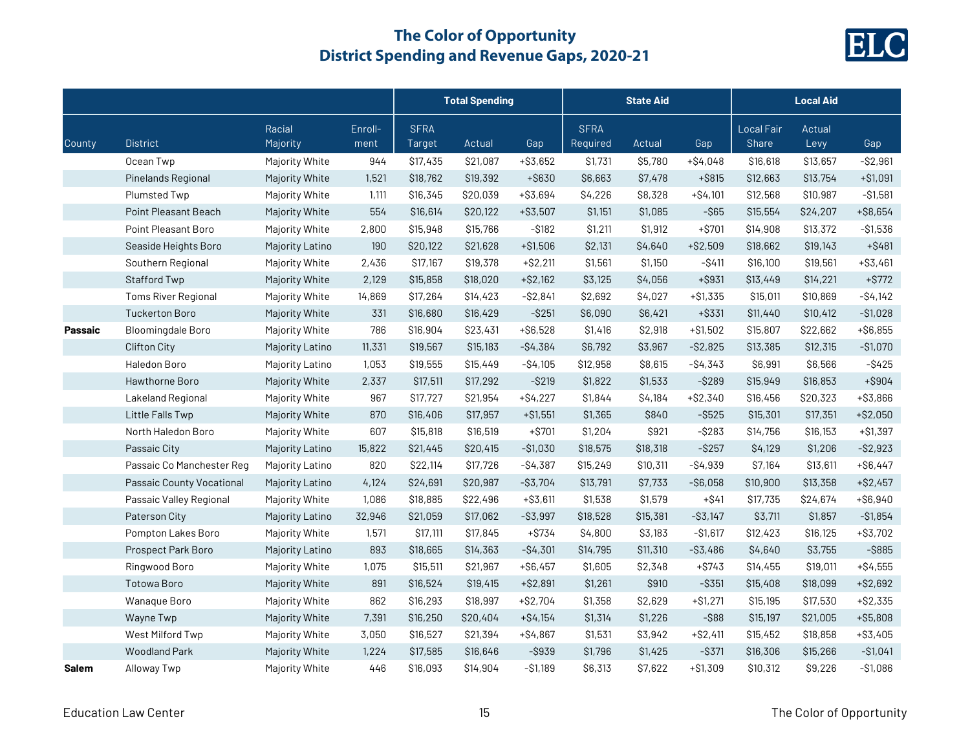

|              |                           |                    |                 | <b>Total Spending</b> |          |             | <b>State Aid</b>        |          |             | <b>Local Aid</b>           |                |             |  |
|--------------|---------------------------|--------------------|-----------------|-----------------------|----------|-------------|-------------------------|----------|-------------|----------------------------|----------------|-------------|--|
| County       | <b>District</b>           | Racial<br>Majority | Enroll-<br>ment | <b>SFRA</b><br>Target | Actual   | Gap         | <b>SFRA</b><br>Required | Actual   | Gap         | Local Fair<br><b>Share</b> | Actual<br>Levy | Gap         |  |
|              | Ocean Twp                 | Majority White     | 944             | \$17,435              | \$21,087 | $+ $3,652$  | \$1,731                 | \$5,780  | $+ $4,048$  | \$16,618                   | \$13,657       | $-$ \$2,961 |  |
|              | Pinelands Regional        | Majority White     | 1,521           | \$18,762              | \$19,392 | +\$630      | \$6,663                 | \$7,478  | $+$ \$815   | \$12,663                   | \$13,754       | $+ $1,091$  |  |
|              | <b>Plumsted Twp</b>       | Majority White     | 1,111           | \$16,345              | \$20,039 | $+ $3,694$  | \$4,226                 | \$8,328  | $+ $4,101$  | \$12,568                   | \$10,987       | $- $1,581$  |  |
|              | Point Pleasant Beach      | Majority White     | 554             | \$16,614              | \$20,122 | $+ $3,507$  | \$1,151                 | \$1,085  | $-$ \$65    | \$15,554                   | \$24,207       | $+ $8,654$  |  |
|              | Point Pleasant Boro       | Majority White     | 2,800           | \$15,948              | \$15,766 | $-$ \$182   | \$1,211                 | \$1,912  | $+ $701$    | \$14,908                   | \$13,372       | $-$1,536$   |  |
|              | Seaside Heights Boro      | Majority Latino    | 190             | \$20,122              | \$21,628 | $+ $1,506$  | \$2,131                 | \$4,640  | $+ $2,509$  | \$18,662                   | \$19,143       | $+$ \$481   |  |
|              | Southern Regional         | Majority White     | 2,436           | \$17,167              | \$19,378 | $+ $2,211$  | \$1,561                 | \$1,150  | $-$ \$411   | \$16,100                   | \$19,561       | $+ $3,461$  |  |
|              | Stafford Twp              | Majority White     | 2,129           | \$15,858              | \$18,020 | $+ $2,162$  | \$3,125                 | \$4,056  | $+$ \$931   | \$13,449                   | \$14,221       | $+$ \$772   |  |
|              | Toms River Regional       | Majority White     | 14,869          | \$17,264              | \$14,423 | $-$ \$2,841 | \$2,692                 | \$4,027  | $+ $1,335$  | \$15,011                   | \$10,869       | $-$ \$4,142 |  |
|              | <b>Tuckerton Boro</b>     | Majority White     | 331             | \$16,680              | \$16,429 | $-$ \$251   | \$6,090                 | \$6,421  | $+$ \$331   | \$11,440                   | \$10,412       | $-$1,028$   |  |
| Passaic      | <b>Bloomingdale Boro</b>  | Majority White     | 786             | \$16,904              | \$23,431 | $+ $6,528$  | \$1,416                 | \$2,918  | $+ $1,502$  | \$15,807                   | \$22,662       | $+ $6,855$  |  |
|              | <b>Clifton City</b>       | Majority Latino    | 11,331          | \$19,567              | \$15,183 | $-$4,384$   | \$6,792                 | \$3,967  | $-$ \$2,825 | \$13,385                   | \$12,315       | $-$1,070$   |  |
|              | Haledon Boro              | Majority Latino    | 1,053           | \$19,555              | \$15,449 | $-$4,105$   | \$12,958                | \$8,615  | $-$4,343$   | \$6,991                    | \$6,566        | $-$ \$425   |  |
|              | Hawthorne Boro            | Majority White     | 2,337           | \$17,511              | \$17,292 | $-$ \$219   | \$1,822                 | \$1,533  | $-$ \$289   | \$15,949                   | \$16,853       | $+$ \$904   |  |
|              | Lakeland Regional         | Majority White     | 967             | \$17,727              | \$21,954 | $+ $4,227$  | \$1,844                 | \$4,184  | $+ $2,340$  | \$16,456                   | \$20,323       | $+ $3,866$  |  |
|              | Little Falls Twp          | Majority White     | 870             | \$16,406              | \$17,957 | $+ $1,551$  | \$1,365                 | \$840    | $-$ \$525   | \$15,301                   | \$17,351       | $+ $2,050$  |  |
|              | North Haledon Boro        | Majority White     | 607             | \$15,818              | \$16,519 | $+ $701$    | \$1,204                 | \$921    | $-$ \$283   | \$14,756                   | \$16,153       | $+ $1,397$  |  |
|              | Passaic City              | Majority Latino    | 15,822          | \$21,445              | \$20,415 | $-$1,030$   | \$18,575                | \$18,318 | $-$ \$257   | \$4,129                    | \$1,206        | $-$ \$2,923 |  |
|              | Passaic Co Manchester Reg | Majority Latino    | 820             | \$22,114              | \$17,726 | $-$4,387$   | \$15,249                | \$10,311 | $-$ \$4,939 | \$7,164                    | \$13,611       | $+ $6,447$  |  |
|              | Passaic County Vocational | Majority Latino    | 4,124           | \$24,691              | \$20,987 | $-$ \$3,704 | \$13,791                | \$7,733  | $- $6,058$  | \$10,900                   | \$13,358       | $+ $2,457$  |  |
|              | Passaic Valley Regional   | Majority White     | 1,086           | \$18,885              | \$22,496 | $+ $3,611$  | \$1,538                 | \$1,579  | $+ $41$     | \$17,735                   | \$24,674       | $+ $6,940$  |  |
|              | Paterson City             | Majority Latino    | 32,946          | \$21,059              | \$17,062 | $-$ \$3,997 | \$18,528                | \$15,381 | $-$ \$3,147 | \$3,711                    | \$1,857        | $- $1,854$  |  |
|              | Pompton Lakes Boro        | Majority White     | 1,571           | \$17,111              | \$17,845 | $+ $734$    | \$4,800                 | \$3,183  | $-$1,617$   | \$12,423                   | \$16,125       | $+ $3,702$  |  |
|              | Prospect Park Boro        | Majority Latino    | 893             | \$18,665              | \$14,363 | $-$4,301$   | \$14,795                | \$11,310 | -\$3,486    | \$4,640                    | \$3,755        | $-$ \$885   |  |
|              | Ringwood Boro             | Majority White     | 1,075           | \$15,511              | \$21,967 | $+ $6,457$  | \$1,605                 | \$2,348  | $+$ \$743   | \$14,455                   | \$19,011       | $+ $4,555$  |  |
|              | <b>Totowa Boro</b>        | Majority White     | 891             | \$16,524              | \$19,415 | $+ $2,891$  | \$1,261                 | \$910    | $-$ \$351   | \$15,408                   | \$18,099       | $+ $2,692$  |  |
|              | Wanaque Boro              | Majority White     | 862             | \$16,293              | \$18,997 | $+ $2,704$  | \$1,358                 | \$2,629  | $+ $1,271$  | \$15,195                   | \$17,530       | $+ $2,335$  |  |
|              | Wayne Twp                 | Majority White     | 7,391           | \$16,250              | \$20,404 | $+ $4,154$  | \$1,314                 | \$1,226  | $-$ \$88    | \$15,197                   | \$21,005       | $+ $5,808$  |  |
|              | West Milford Twp          | Majority White     | 3,050           | \$16,527              | \$21,394 | $+ $4,867$  | \$1,531                 | \$3,942  | $+ $2,411$  | \$15,452                   | \$18,858       | $+ $3,405$  |  |
|              | <b>Woodland Park</b>      | Majority White     | 1,224           | \$17,585              | \$16,646 | $-$ \$939   | \$1,796                 | \$1,425  | $-$ \$371   | \$16,306                   | \$15,266       | $- $1,041$  |  |
| <b>Salem</b> | Alloway Twp               | Majority White     | 446             | \$16,093              | \$14,904 | $- $1,189$  | \$6,313                 | \$7,622  | $+ $1,309$  | \$10,312                   | \$9,226        | $- $1,086$  |  |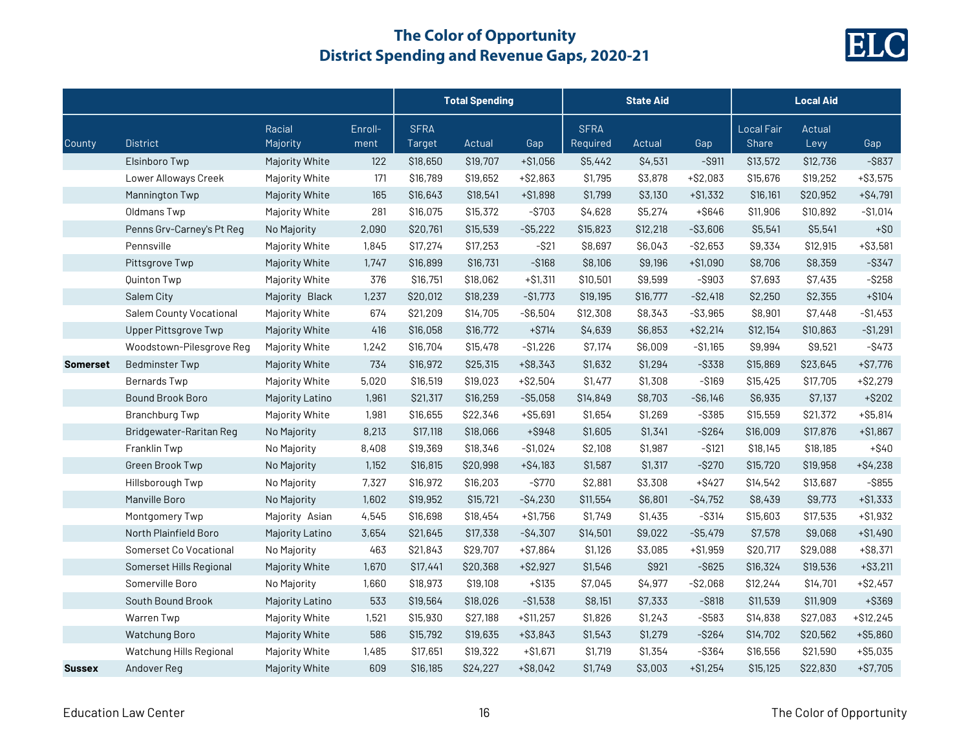

|                 |                                |                    |                 |                       | <b>Total Spending</b> |             |                         | <b>State Aid</b> |             |                                   | <b>Local Aid</b> |             |
|-----------------|--------------------------------|--------------------|-----------------|-----------------------|-----------------------|-------------|-------------------------|------------------|-------------|-----------------------------------|------------------|-------------|
| County          | <b>District</b>                | Racial<br>Majority | Enroll-<br>ment | <b>SFRA</b><br>Target | Actual                | Gap         | <b>SFRA</b><br>Required | Actual           | Gap         | <b>Local Fair</b><br><b>Share</b> | Actual<br>Levy   | Gap         |
|                 | Elsinboro Twp                  | Majority White     | 122             | \$18,650              | \$19,707              | $+ $1,056$  | \$5,442                 | \$4,531          | $-$ \$911   | \$13,572                          | \$12,736         | $-$ \$837   |
|                 | Lower Alloways Creek           | Majority White     | 171             | \$16,789              | \$19,652              | $+ $2,863$  | \$1,795                 | \$3,878          | $+ $2,083$  | \$15,676                          | \$19,252         | $+ $3,575$  |
|                 | Mannington Twp                 | Majority White     | 165             | \$16,643              | \$18,541              | $+ $1,898$  | \$1,799                 | \$3,130          | $+ $1,332$  | \$16,161                          | \$20,952         | $+ $4,791$  |
|                 | Oldmans Twp                    | Majority White     | 281             | \$16,075              | \$15,372              | $-$ \$703   | \$4,628                 | \$5,274          | $+ $646$    | \$11,906                          | \$10,892         | $-$ \$1,014 |
|                 | Penns Grv-Carney's Pt Reg      | No Majority        | 2,090           | \$20,761              | \$15,539              | $-$ \$5,222 | \$15,823                | \$12,218         | $- $3,606$  | \$5,541                           | \$5,541          | $+ $0$      |
|                 | Pennsville                     | Majority White     | 1,845           | \$17,274              | \$17,253              | $-$ \$21    | \$8,697                 | \$6,043          | $-$2,653$   | \$9,334                           | \$12,915         | $+ $3,581$  |
|                 | Pittsgrove Twp                 | Majority White     | 1,747           | \$16,899              | \$16,731              | $-$ \$168   | \$8,106                 | \$9,196          | $+ $1,090$  | \$8,706                           | \$8,359          | $-$ \$347   |
|                 | Quinton Twp                    | Majority White     | 376             | \$16,751              | \$18,062              | $+ $1,311$  | \$10,501                | \$9,599          | $-$ \$903   | \$7,693                           | \$7,435          | $-$ \$258   |
|                 | Salem City                     | Majority Black     | 1,237           | \$20,012              | \$18,239              | $-$1,773$   | \$19,195                | \$16,777         | $-$ \$2,418 | \$2,250                           | \$2,355          | $+ $104$    |
|                 | <b>Salem County Vocational</b> | Majority White     | 674             | \$21,209              | \$14,705              | $-$ \$6,504 | \$12,308                | \$8,343          | $-$ \$3,965 | \$8,901                           | \$7,448          | $-$1,453$   |
|                 | Upper Pittsgrove Twp           | Majority White     | 416             | \$16,058              | \$16,772              | $+$ \$714   | \$4,639                 | \$6,853          | $+ $2,214$  | \$12,154                          | \$10,863         | $-$1,291$   |
|                 | Woodstown-Pilesgrove Reg       | Majority White     | 1,242           | \$16,704              | \$15,478              | $-$1,226$   | \$7,174                 | \$6,009          | $-$1,165$   | \$9,994                           | \$9,521          | $-$ \$473   |
| <b>Somerset</b> | <b>Bedminster Twp</b>          | Majority White     | 734             | \$16,972              | \$25,315              | $+ $8,343$  | \$1,632                 | \$1,294          | $-$ \$338   | \$15,869                          | \$23,645         | $+ $7,776$  |
|                 | Bernards Twp                   | Majority White     | 5,020           | \$16,519              | \$19,023              | $+ $2,504$  | \$1,477                 | \$1,308          | $-$ \$169   | \$15,425                          | \$17,705         | $+ $2,279$  |
|                 | <b>Bound Brook Boro</b>        | Majority Latino    | 1,961           | \$21,317              | \$16,259              | $- $5,058$  | \$14,849                | \$8,703          | $-$ \$6,146 | \$6,935                           | \$7,137          | $+$ \$202   |
|                 | <b>Branchburg Twp</b>          | Majority White     | 1,981           | \$16,655              | \$22,346              | $+ $5,691$  | \$1,654                 | \$1,269          | $-$ \$385   | \$15,559                          | \$21,372         | $+ $5,814$  |
|                 | Bridgewater-Raritan Reg        | No Majority        | 8,213           | \$17,118              | \$18,066              | $+$ \$948   | \$1,605                 | \$1,341          | $-$ \$264   | \$16,009                          | \$17,876         | $+ $1,867$  |
|                 | Franklin Twp                   | No Majority        | 8,408           | \$19,369              | \$18,346              | $-$1,024$   | \$2,108                 | \$1,987          | $-$ \$121   | \$18,145                          | \$18,185         | $+$ \$40    |
|                 | Green Brook Twp                | No Majority        | 1,152           | \$16,815              | \$20,998              | $+ $4,183$  | \$1,587                 | \$1,317          | $-$ \$270   | \$15,720                          | \$19,958         | $+ $4,238$  |
|                 | Hillsborough Twp               | No Majority        | 7,327           | \$16,972              | \$16,203              | $-$ \$770   | \$2,881                 | \$3,308          | $+$ \$427   | \$14,542                          | \$13,687         | $-$ \$855   |
|                 | Manville Boro                  | No Majority        | 1,602           | \$19,952              | \$15,721              | $-$4,230$   | \$11,554                | \$6,801          | $-$4,752$   | \$8,439                           | \$9,773          | $+ $1,333$  |
|                 | Montgomery Twp                 | Majority Asian     | 4,545           | \$16,698              | \$18,454              | $+ $1,756$  | \$1,749                 | \$1,435          | $-$ \$314   | \$15,603                          | \$17,535         | $+ $1,932$  |
|                 | North Plainfield Boro          | Majority Latino    | 3,654           | \$21,645              | \$17,338              | $-$4,307$   | \$14,501                | \$9,022          | $-S5,479$   | \$7,578                           | \$9,068          | $+ $1,490$  |
|                 | Somerset Co Vocational         | No Majority        | 463             | \$21,843              | \$29,707              | $+ $7,864$  | \$1,126                 | \$3,085          | $+ $1,959$  | \$20,717                          | \$29,088         | $+$ \$8,371 |
|                 | Somerset Hills Regional        | Majority White     | 1,670           | \$17,441              | \$20,368              | $+ $2,927$  | \$1,546                 | \$921            | $-$ \$625   | \$16,324                          | \$19,536         | $+$ \$3,211 |
|                 | Somerville Boro                | No Majority        | 1,660           | \$18,973              | \$19,108              | $+ $135$    | \$7,045                 | \$4,977          | $-$2,068$   | \$12,244                          | \$14,701         | $+ $2,457$  |
|                 | South Bound Brook              | Majority Latino    | 533             | \$19,564              | \$18,026              | $-$1,538$   | \$8,151                 | \$7,333          | $-$ \$818   | \$11,539                          | \$11,909         | +\$369      |
|                 | Warren Twp                     | Majority White     | 1,521           | \$15,930              | \$27,188              | $+ $11,257$ | \$1,826                 | \$1,243          | $-$ \$583   | \$14,838                          | \$27,083         | $+ $12,245$ |
|                 | Watchung Boro                  | Majority White     | 586             | \$15,792              | \$19,635              | $+ $3,843$  | \$1,543                 | \$1,279          | $-$ \$264   | \$14,702                          | \$20,562         | $+ $5,860$  |
|                 | Watchung Hills Regional        | Majority White     | 1,485           | \$17,651              | \$19,322              | $+ $1,671$  | \$1,719                 | \$1,354          | $-$ \$364   | \$16,556                          | \$21,590         | $+ $5,035$  |
| <b>Sussex</b>   | Andover Reg                    | Majority White     | 609             | \$16,185              | \$24,227              | $+ $8,042$  | \$1,749                 | \$3,003          | $+ $1,254$  | \$15,125                          | \$22,830         | $+ $7,705$  |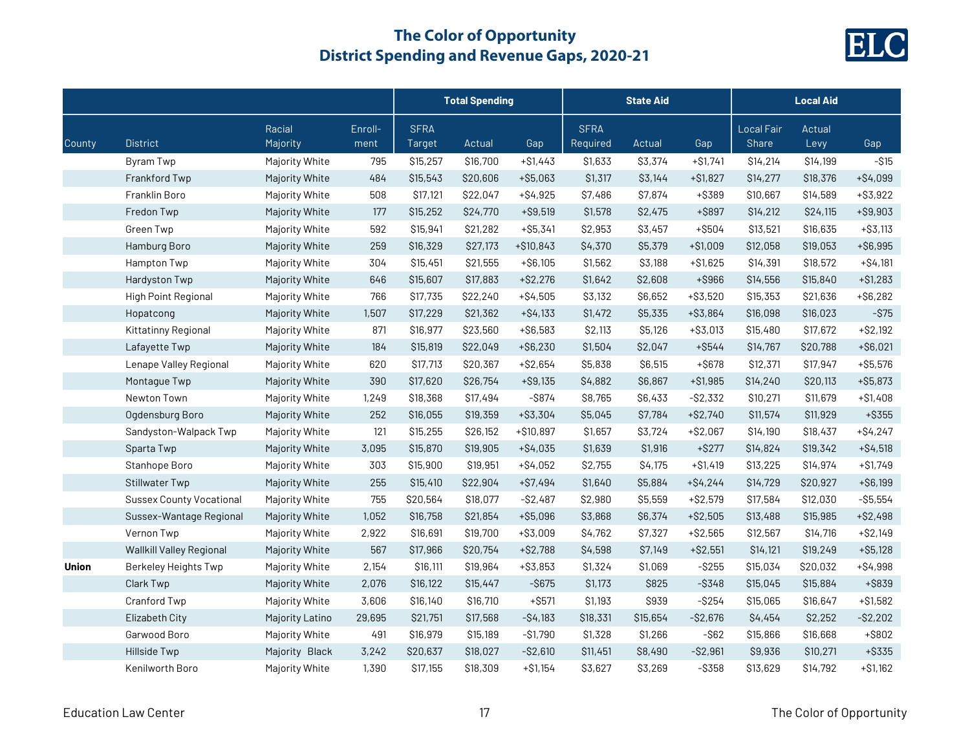

|        |                                 |                    |                 |                       | <b>Total Spending</b> |             |                         | <b>State Aid</b> |             |                                   | <b>Local Aid</b> |             |
|--------|---------------------------------|--------------------|-----------------|-----------------------|-----------------------|-------------|-------------------------|------------------|-------------|-----------------------------------|------------------|-------------|
| County | <b>District</b>                 | Racial<br>Majority | Enroll-<br>ment | <b>SFRA</b><br>Target | Actual                | Gap         | <b>SFRA</b><br>Required | Actual           | Gap         | <b>Local Fair</b><br><b>Share</b> | Actual<br>Levy   | Gap         |
|        | Byram Twp                       | Majority White     | 795             | \$15,257              | \$16,700              | $+ $1,443$  | \$1,633                 | \$3,374          | $+ $1,741$  | \$14,214                          | \$14,199         | $-$ \$15    |
|        | Frankford Twp                   | Majority White     | 484             | \$15,543              | \$20,606              | $+ $5,063$  | \$1,317                 | \$3,144          | $+ $1,827$  | \$14,277                          | \$18,376         | $+ $4,099$  |
|        | Franklin Boro                   | Majority White     | 508             | \$17,121              | \$22,047              | $+ $4,925$  | \$7,486                 | \$7,874          | +\$389      | \$10,667                          | \$14,589         | $+$ \$3,922 |
|        | Fredon Twp                      | Majority White     | 177             | \$15,252              | \$24,770              | $+$ \$9,519 | \$1,578                 | \$2,475          | +\$897      | \$14,212                          | \$24,115         | $+$ \$9,903 |
|        | Green Twp                       | Majority White     | 592             | \$15,941              | \$21,282              | $+ $5,341$  | \$2,953                 | \$3,457          | $+$ \$504   | \$13,521                          | \$16,635         | $+ $3,113$  |
|        | Hamburg Boro                    | Majority White     | 259             | \$16,329              | \$27,173              | $+ $10,843$ | \$4,370                 | \$5,379          | $+ $1,009$  | \$12,058                          | \$19,053         | $+ $6,995$  |
|        | Hampton Twp                     | Majority White     | 304             | \$15,451              | \$21,555              | $+ $6,105$  | \$1,562                 | \$3,188          | $+ $1,625$  | \$14,391                          | \$18,572         | $+ $4,181$  |
|        | Hardyston Twp                   | Majority White     | 646             | \$15,607              | \$17,883              | $+ $2,276$  | \$1,642                 | \$2,608          | +\$966      | \$14,556                          | \$15,840         | $+ $1,283$  |
|        | High Point Regional             | Majority White     | 766             | \$17,735              | \$22,240              | $+ $4,505$  | \$3,132                 | \$6,652          | $+ $3,520$  | \$15,353                          | \$21,636         | $+$ \$6,282 |
|        | Hopatcong                       | Majority White     | 1,507           | \$17,229              | \$21,362              | $+ $4,133$  | \$1,472                 | \$5,335          | $+ $3,864$  | \$16,098                          | \$16,023         | $-$ \$75    |
|        | Kittatinny Regional             | Majority White     | 871             | \$16,977              | \$23,560              | $+ $6,583$  | \$2,113                 | \$5,126          | $+ $3,013$  | \$15,480                          | \$17,672         | $+ $2,192$  |
|        | Lafayette Twp                   | Majority White     | 184             | \$15,819              | \$22,049              | $+ $6,230$  | \$1,504                 | \$2,047          | $+$ \$544   | \$14,767                          | \$20,788         | $+ $6,021$  |
|        | Lenape Valley Regional          | Majority White     | 620             | \$17,713              | \$20,367              | $+ $2,654$  | \$5,838                 | \$6,515          | $+ $678$    | \$12,371                          | \$17,947         | $+ $5,576$  |
|        | Montague Twp                    | Majority White     | 390             | \$17,620              | \$26,754              | $+$ \$9,135 | \$4,882                 | \$6,867          | $+ $1,985$  | \$14,240                          | \$20,113         | $+ $5,873$  |
|        | Newton Town                     | Majority White     | 1,249           | \$18,368              | \$17,494              | $-$ \$874   | \$8,765                 | \$6,433          | $-$ \$2,332 | \$10,271                          | \$11,679         | $+ $1,408$  |
|        | Ogdensburg Boro                 | Majority White     | 252             | \$16,055              | \$19,359              | $+ $3,304$  | \$5,045                 | \$7,784          | $+ $2,740$  | \$11,574                          | \$11,929         | $+$ \$355   |
|        | Sandyston-Walpack Twp           | Majority White     | 121             | \$15,255              | \$26,152              | +\$10,897   | \$1,657                 | \$3,724          | $+ $2,067$  | \$14,190                          | \$18,437         | $+ $4,247$  |
|        | Sparta Twp                      | Majority White     | 3,095           | \$15,870              | \$19,905              | $+ $4,035$  | \$1,639                 | \$1,916          | $+$ \$277   | \$14,824                          | \$19,342         | $+ $4,518$  |
|        | Stanhope Boro                   | Majority White     | 303             | \$15,900              | \$19,951              | $+ $4,052$  | \$2,755                 | <b>\$4,175</b>   | $+ $1,419$  | \$13,225                          | \$14,974         | $+ $1,749$  |
|        | Stillwater Twp                  | Majority White     | 255             | \$15,410              | \$22,904              | $+ $7,494$  | \$1,640                 | \$5,884          | $+ $4,244$  | \$14,729                          | \$20,927         | $+ $6,199$  |
|        | <b>Sussex County Vocational</b> | Majority White     | 755             | \$20,564              | \$18,077              | $-S2,487$   | \$2,980                 | \$5,559          | $+ $2,579$  | \$17,584                          | \$12,030         | $-$ \$5,554 |
|        | Sussex-Wantage Regional         | Majority White     | 1,052           | \$16,758              | \$21,854              | $+ $5,096$  | \$3,868                 | \$6,374          | $+ $2,505$  | \$13,488                          | \$15,985         | $+ $2,498$  |
|        | Vernon Twp                      | Majority White     | 2,922           | \$16,691              | \$19,700              | $+ $3,009$  | \$4,762                 | \$7,327          | $+ $2,565$  | \$12,567                          | \$14,716         | $+ $2,149$  |
|        | Wallkill Valley Regional        | Majority White     | 567             | \$17,966              | \$20,754              | $+ $2,788$  | \$4,598                 | \$7,149          | $+ $2,551$  | \$14,121                          | \$19,249         | $+ $5,128$  |
| Union  | Berkeley Heights Twp            | Majority White     | 2,154           | \$16,111              | \$19,964              | $+ $3,853$  | \$1,324                 | \$1,069          | $-$ \$255   | \$15,034                          | \$20,032         | $+ $4,998$  |
|        | Clark Twp                       | Majority White     | 2,076           | \$16,122              | \$15,447              | $-$ \$675   | \$1,173                 | \$825            | $-$ \$348   | \$15,045                          | \$15,884         | +\$839      |
|        | Cranford Twp                    | Majority White     | 3,606           | \$16,140              | \$16,710              | $+$ \$571   | \$1,193                 | \$939            | $-$ \$254   | \$15,065                          | \$16,647         | $+ $1,582$  |
|        | Elizabeth City                  | Majority Latino    | 29,695          | \$21,751              | \$17,568              | $-$4,183$   | \$18,331                | \$15,654         | $-$2,676$   | \$4,454                           | \$2,252          | $-$ \$2,202 |
|        | Garwood Boro                    | Majority White     | 491             | \$16,979              | \$15,189              | $-$1,790$   | \$1,328                 | \$1,266          | $-$ \$62    | \$15,866                          | \$16,668         | $+$ \$802   |
|        | Hillside Twp                    | Majority Black     | 3,242           | \$20,637              | \$18,027              | $-$ \$2,610 | \$11,451                | \$8,490          | $-$ \$2,961 | \$9,936                           | \$10,271         | $+$ \$335   |
|        | Kenilworth Boro                 | Majority White     | 1,390           | \$17,155              | \$18,309              | $+ $1,154$  | \$3,627                 | \$3,269          | $-$ \$358   | \$13,629                          | \$14,792         | $+ $1,162$  |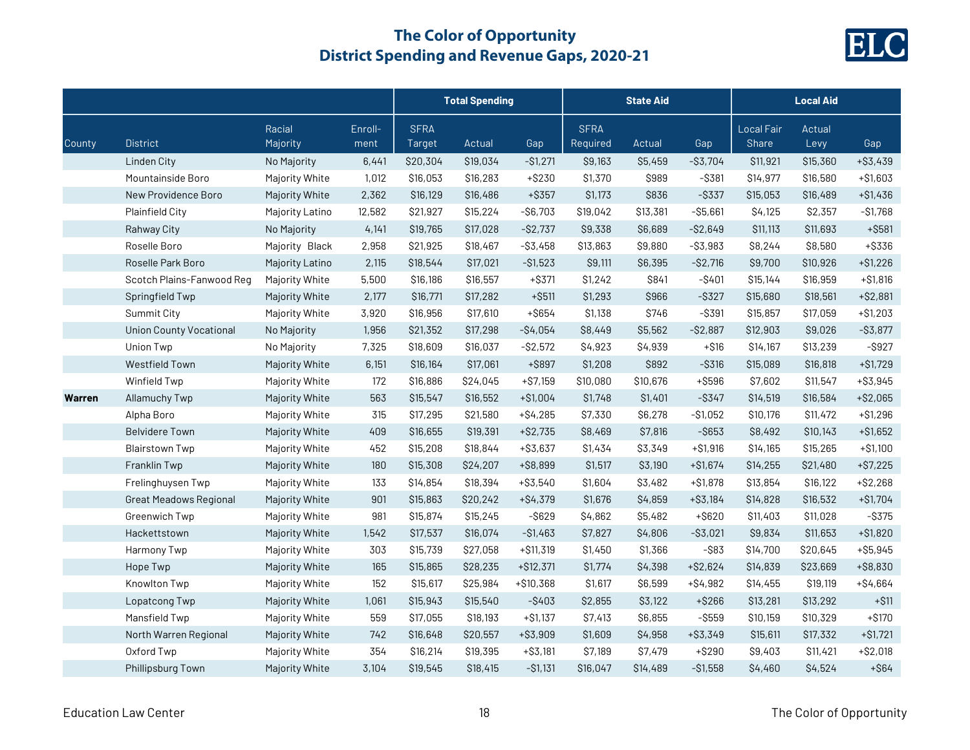

|        |                                |                    |                 |                       | <b>Total Spending</b> |             |                         | <b>State Aid</b> |             |                                   | <b>Local Aid</b> |             |
|--------|--------------------------------|--------------------|-----------------|-----------------------|-----------------------|-------------|-------------------------|------------------|-------------|-----------------------------------|------------------|-------------|
| County | <b>District</b>                | Racial<br>Majority | Enroll-<br>ment | <b>SFRA</b><br>Target | Actual                | Gap         | <b>SFRA</b><br>Required | Actual           | Gap         | <b>Local Fair</b><br><b>Share</b> | Actual<br>Levy   | Gap         |
|        | Linden City                    | No Majority        | 6,441           | \$20,304              | \$19,034              | $-$1,271$   | \$9,163                 | \$5,459          | $-$ \$3,704 | \$11,921                          | \$15,360         | $+ $3,439$  |
|        | Mountainside Boro              | Majority White     | 1,012           | \$16,053              | \$16,283              | $+ $230$    | \$1,370                 | \$989            | $-$ \$381   | \$14,977                          | \$16,580         | $+ $1,603$  |
|        | New Providence Boro            | Majority White     | 2,362           | \$16,129              | \$16,486              | $+$ \$357   | \$1,173                 | \$836            | $-$ \$337   | \$15,053                          | \$16,489         | $+ $1,436$  |
|        | <b>Plainfield City</b>         | Majority Latino    | 12,582          | \$21,927              | \$15,224              | $-$ \$6,703 | \$19,042                | \$13,381         | $- $5,661$  | \$4,125                           | \$2,357          | $-$1,768$   |
|        | Rahway City                    | No Majority        | 4,141           | \$19,765              | \$17,028              | $-S2,737$   | \$9,338                 | \$6,689          | $-$ \$2,649 | \$11,113                          | \$11,693         | $+$ \$581   |
|        | Roselle Boro                   | Majority Black     | 2,958           | \$21,925              | \$18,467              | $-$ \$3,458 | \$13,863                | \$9,880          | $- $3,983$  | \$8,244                           | \$8,580          | +\$336      |
|        | Roselle Park Boro              | Majority Latino    | 2,115           | \$18,544              | \$17,021              | $-$1,523$   | \$9,111                 | \$6,395          | $-$2,716$   | \$9,700                           | \$10,926         | $+ $1,226$  |
|        | Scotch Plains-Fanwood Reg      | Majority White     | 5,500           | \$16,186              | \$16,557              | $+$ \$371   | \$1,242                 | \$841            | $-$ \$401   | \$15,144                          | \$16,959         | $+ $1,816$  |
|        | Springfield Twp                | Majority White     | 2,177           | \$16,771              | \$17,282              | $+$ \$511   | \$1,293                 | \$966            | $-$ \$327   | \$15,680                          | \$18,561         | $+ $2,881$  |
|        | Summit City                    | Majority White     | 3,920           | \$16,956              | \$17,610              | $+$ \$654   | \$1,138                 | \$746            | $-$ \$391   | \$15,857                          | \$17,059         | $+ $1,203$  |
|        | <b>Union County Vocational</b> | No Majority        | 1,956           | \$21,352              | \$17,298              | $-$4,054$   | \$8,449                 | \$5,562          | $-$ \$2,887 | \$12,903                          | \$9,026          | $-$ \$3,877 |
|        | Union Twp                      | No Majority        | 7,325           | \$18,609              | \$16,037              | $-$ \$2,572 | \$4,923                 | \$4,939          | $+ $16$     | \$14,167                          | \$13,239         | $-$ \$927   |
|        | <b>Westfield Town</b>          | Majority White     | 6,151           | \$16,164              | \$17,061              | +\$897      | \$1,208                 | \$892            | $-$ \$316   | \$15,089                          | \$16,818         | $+ $1,729$  |
|        | Winfield Twp                   | Majority White     | 172             | \$16,886              | \$24,045              | $+ $7,159$  | \$10,080                | \$10,676         | $+ $596$    | \$7,602                           | \$11,547         | $+ $3,945$  |
| Warren | Allamuchy Twp                  | Majority White     | 563             | \$15,547              | \$16,552              | $+ $1,004$  | \$1,748                 | \$1,401          | $-$ \$347   | \$14,519                          | \$16,584         | $+ $2,065$  |
|        | Alpha Boro                     | Majority White     | 315             | \$17,295              | \$21,580              | $+ $4,285$  | \$7,330                 | \$6,278          | $-$1,052$   | \$10,176                          | \$11,472         | $+ $1,296$  |
|        | <b>Belvidere Town</b>          | Majority White     | 409             | \$16,655              | \$19,391              | $+ $2,735$  | \$8,469                 | \$7,816          | $-$ \$653   | \$8,492                           | \$10,143         | $+ $1,652$  |
|        | <b>Blairstown Twp</b>          | Majority White     | 452             | \$15,208              | \$18,844              | $+ $3,637$  | \$1,434                 | \$3,349          | $+ $1,916$  | \$14,165                          | \$15,265         | $+ $1,100$  |
|        | Franklin Twp                   | Majority White     | 180             | \$15,308              | \$24,207              | +\$8,899    | \$1,517                 | \$3,190          | $+ $1,674$  | \$14,255                          | \$21,480         | $+ $7,225$  |
|        | Frelinghuysen Twp              | Majority White     | 133             | \$14,854              | \$18,394              | $+ $3,540$  | \$1,604                 | \$3,482          | $+ $1,878$  | \$13,854                          | \$16,122         | $+ $2,268$  |
|        | <b>Great Meadows Regional</b>  | Majority White     | 901             | \$15,863              | \$20,242              | $+ $4,379$  | \$1,676                 | \$4,859          | $+ $3,184$  | \$14,828                          | \$16,532         | $+ $1,704$  |
|        | Greenwich Twp                  | Majority White     | 981             | \$15,874              | \$15,245              | $-$ \$629   | \$4,862                 | \$5,482          | $+$ \$620   | \$11,403                          | \$11,028         | $-$ \$375   |
|        | Hackettstown                   | Majority White     | 1,542           | \$17,537              | \$16,074              | $-$1,463$   | \$7,827                 | \$4,806          | $-$ \$3,021 | \$9,834                           | \$11,653         | $+ $1,820$  |
|        | Harmony Twp                    | Majority White     | 303             | \$15,739              | \$27,058              | $+ $11,319$ | \$1,450                 | \$1,366          | $-$ \$83    | \$14,700                          | \$20,645         | $+ $5,945$  |
|        | Hope Twp                       | Majority White     | 165             | \$15,865              | \$28,235              | $+ $12,371$ | \$1,774                 | \$4,398          | $+ $2,624$  | \$14,839                          | \$23,669         | $+ $8,830$  |
|        | Knowlton Twp                   | Majority White     | 152             | \$15,617              | \$25,984              | $+ $10,368$ | \$1,617                 | \$6,599          | $+ $4,982$  | \$14,455                          | \$19,119         | $+ $4,664$  |
|        | Lopatcong Twp                  | Majority White     | 1,061           | \$15,943              | \$15,540              | $-$ \$403   | \$2,855                 | \$3,122          | $+ $266$    | \$13,281                          | \$13,292         | $+ $11$     |
|        | Mansfield Twp                  | Majority White     | 559             | \$17,055              | \$18,193              | $+ $1,137$  | \$7,413                 | \$6,855          | $-$ \$559   | \$10,159                          | \$10,329         | $+ $170$    |
|        | North Warren Regional          | Majority White     | 742             | \$16,648              | \$20,557              | $+ $3,909$  | \$1,609                 | \$4,958          | $+ $3,349$  | \$15,611                          | \$17,332         | $+ $1,721$  |
|        | Oxford Twp                     | Majority White     | 354             | \$16,214              | \$19,395              | $+ $3,181$  | \$7,189                 | \$7,479          | $+$ \$290   | \$9,403                           | \$11,421         | $+ $2,018$  |
|        | Phillipsburg Town              | Majority White     | 3,104           | \$19,545              | \$18,415              | $- $1,131$  | \$16,047                | \$14,489         | $-$1,558$   | \$4,460                           | \$4,524          | $+$ \$64    |